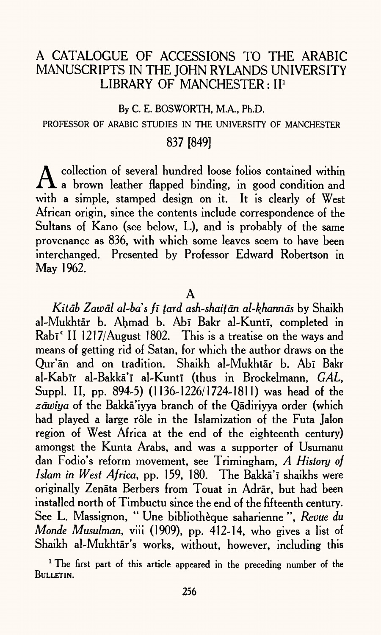# A CATALOGUE OF ACCESSIONS TO THE ARABIC MANUSCRIPTS IN THE JOHN RYLANDS UNIVERSITY LIBRARY OF MANCHESTER: II<sup>1</sup>

By C. E. BOSWORTH, M.A., Ph.D.

#### PROFESSOR OF ARABIC STUDIES IN THE UNIVERSITY OF MANCHESTER

## 837 [849]

 $\Lambda$  collection of several hundred loose folios contained within and  $\Lambda$  a brown leather flapped binding, in good condition and with a simple, stamped design on it. It is clearly of West African origin, since the contents include correspondence of the Sultans of Kano (see below, L), and is probably of the same provenance as 836, with which some leaves seem to have been interchanged. Presented by Professor Edward Robertson in May 1962.

A

*Kitāb Zawāl al-ba's fī tard ash-shaitān al-khannās* by Shaikh al-Mukhtār b. Ahmad b. Abī Bakr al-Kuntī, completed in Rabī<sup>c</sup> II 1217/August 1802. This is a treatise on the ways and means of getting rid of Satan, for which the author draws on the Our'an and on tradition. Shaikh al-Mukhtar b. Abi Bakr al-Kabir al-Bakkā'ī al-Kuntī (thus in Brockelmann, *GAL*, Suppl. II, pp. 894-5) (1136-1226/1724-1811) was head of the zāwiya of the Bakkā'iyya branch of the Oādiriyya order (which had played a large rôle in the Islamization of the Futa Jalon region of West Africa at the end of the eighteenth century) amongst the Kunta Arabs, and was a supporter of Usumanu dan Fodio's reform movement, see Trimingham, *A History of Islam in West Africa*, pp. 159, 180. The Bakka'i shaikhs were originally Zenata Berbers from Touat in Adrar, but had been installed north of Timbuctu since the end of the fifteenth century. See L. Massignon, " Une bibliotheque saharienne ", *Revue du Monde Musulman,* viii (1909), pp. 412-14, who gives a list of Shaikh al-Mukhtar's works, without, however, including this

<sup>1</sup> The first part of this article appeared in the preceding number of the BULLETIN.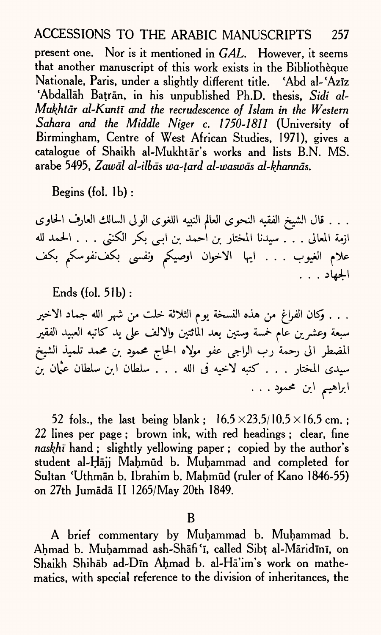present one. Nor is it mentioned in *GAL.* However, it seems that another manuscript of this work exists in the Bibliotheque Nationale, Paris, under a slightly different title. 'Abd al-'Aziz 'Abdallah Batran, in his unpublished Ph.D. thesis, *Sidi al~ Mukhtdr al'Kuntl and the recrudescence of Islam in the Western Sahara and the Middle Niger c. 1750-1811* (University of Birmingham, Centre of West African Studies, 1971), gives <sup>a</sup> catalogue of Shaikh al-Mukhtar's works and lists B.N. MS. arabe 5495, *Zawdl al-ilbds wa-tard al-waswds al-khannds.*

Begins (fol. Ib) :

. . . قال الشيخ الفقيه النحوى العالم النبيه اللغوى الولى السالك العارف الحاوى ازمة المعالى . . . سيدنا المختار بن أحمد بن ابـى بكر الكنتى . . . الحمد لله علام الغيوب . . . ايها الاخوان اوصيكم ونفسى بكف:نفوسكم بكف الجهاد . . .

Ends (fol. 51b):

. . . وكان الفراغ من هذه النسخة يوم الثلاثة خلت من شهر الله جماد الاخير سبعة وعشرين عام خمسة وستين بعد المائتين والالف على يد كاتبه العبيد الفقير المضطر الى رحمةً رب الراجى عفو مولاه الحاج محمود بن محمد تلميذ الشيخ سيدي المختار . . . كتبه لاخيه في الله . . . سلطان ابن سلطان عيَّان بن ابراهيم ابن محمود . . .

52 fols., the last being blank;  $16.5 \times 23.5/10.5 \times 16.5$  cm.; 22 lines per page ; brown ink, with red headings ; clear, fine *naskhi* hand ; slightly yellowing paper ; copied by the author's student al-Hājj Mahmūd b. Muhammad and completed for Sultan 'Uthmān b. Ibrahim b. Mahmūd (ruler of Kano 1846-55) on 27th Jumada II 1265/May 20th 1849.

B

A brief commentary by Muhammad b. Muhammad b. Ahmad b. Muhammad ash-Shafi'i, called Sibt al-Maridini, on Shaikh Shihab ad-Din Ahmad b. al-Ha'im's work on mathematics, with special reference to the division of inheritances, the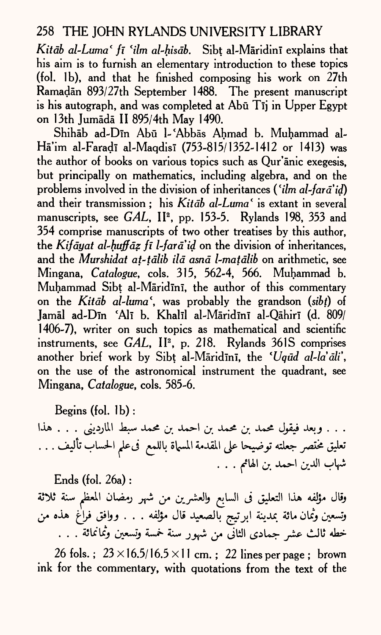*Kitdb al~Luma ( fi* 'i/m *al-hisdb.* Sibt al-Maridini explains that his aim is to furnish an elementary introduction to these topics (fol. 1b), and that he finished composing his work on 27th Ramadān 893/27th September 1488. The present manuscript is his autograph, and was completed at Abū Tij in Upper Egypt on 13th Jumada II 895/4th May 1490.

Shihab ad-Din Abu l-'Abbas Ahmad b. Muhammad al-Hā'im al-Faradī al-Maqdisī (753-815/1352-1412 or 1413) was the author of books on various topics such as Qur'anic exegesis, but principally on mathematics, including algebra, and on the problems involved in the division of inheritances ('i/m *al-fard'id)*  and their transmission ; his *Kitdb al-Luma* ' is extant in several manuscripts, see *GAL*, II<sup>2</sup>, pp. 153-5. Rylands 198, 353 and 354 comprise manuscripts of two other treatises by this author, the *Kifdyat al-huffdz fi l~fard'id* on the division of inheritances, and the *Murshidat at-tdlib ild asnd l-matdlib* on arithmetic, see Mingana, *Catalogue,* cols. 315, 562-4, 566. Muhammad b. Muhammad Sibt al-Maridmi, the author of this commentary on the *Kitdb al~luma\* was probably the grandson *(sibt)* of Jamāl ad-Dīn 'Alī b. Khalīl al-Māridīnī al-Qāhirī (d. 809/ 1406-7), writer on such topics as mathematical and scientific instruments, see *GAL*, II<sup>2</sup>, p. 218. Rylands 361S comprises another brief work by Sibt al-Māridīnī, the 'Uqud al-la'ali', on the use of the astronomical instrument the quadrant, see Mingana, *Catalogue,* cols. 585-6.

Begins (fol. Ib) :

. . . وبعد فيقول محمد بن محمد بن احمد بن محمد سبط المارديني . . . هذا تعليق مختصر جعلته توضيحا على المقدمة المسهاة باللمع فى علم الحساب تأليف . . . شهاب الدين احمد بن الهامم . . . .

Ends (fol. 26a) : وقال مؤلفه هذا التعليق فى السابع والعشرين من شهر رمضان المعظم سنة ثلاثة وتسعين وثمان مائة بمدينة ابرتيج بالصعيد قال مؤلفه . . . ووافق فراغ هذه من خطه ثالث عشر جمادي الثاني من شهور سنة خمسة وتسعين وثمانمائة . . .

26 fols.;  $23 \times 16.5/16.5 \times 11$  cm.; 22 lines per page; brown ink for the commentary, with quotations from the text of the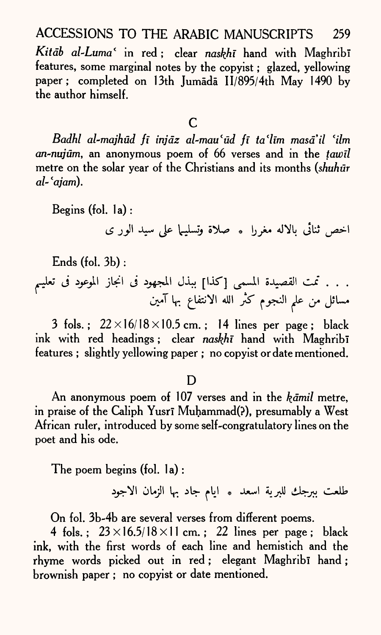Kitāb al-Luma<sup>c</sup> in red; clear naskhī hand with Maghribī features, some marginal notes by the copyist ; glazed, yellowing paper; completed on 13th Jumada II/895/4th May 1490 by the author himself.

c

*Badhl al-majhud fi injdz al-mau f ud fi ta'ltm masail lilm an-nujum,* an anonymous poem of 66 verses and in the *tawil*  metre on the solar year of the Christians and its months *(shuhur al- 'ajam).*

Begins (fol. la) : (£ **Jjll X\*- ^ \j-JLJj**

Ends (fol. 3b) :

. . . تمت القصيدة المسمى [كذا] ببذل المجهود فى انجاز الموعود فى تعليم مسائل من علم النجوم كثر الله الانتفاع بها آمين

3 fols.;  $22 \times 16/18 \times 10.5$  cm.; 14 lines per page; black ink with red headings; clear *naskhi* hand with Maghribi features ; slightly yellowing paper ; no copyist or date mentioned.

#### D

An anonymous poem of 107 verses and in the *kamil* metre, in praise of the Caliph Yusri Muḥammad(?), presumably a West African ruler, introduced by some self-congratulatory lines on the poet and his ode.

The poem begins (fol. la) :

طلعت ببرجك للبرية اسعد \* ايام جاد بها الزمان الاجود

On fol. 3b-4b are several verses from different poems.

4 fols.:  $23 \times 16.5/18 \times 11$  cm.: 22 lines per page; black ink, with the first words of each line and hemistich and the rhyme words picked out in red ; elegant Maghribi hand ; brownish paper ; no copyist or date mentioned.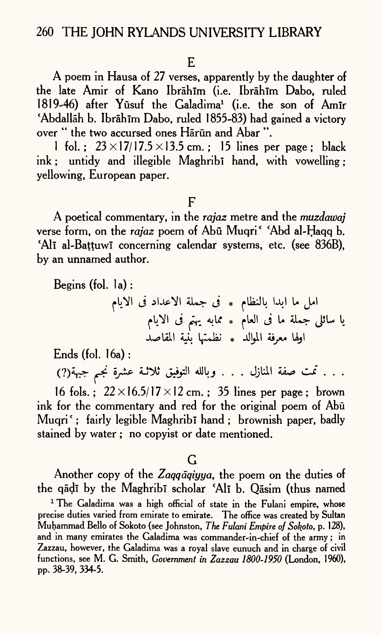#### E

A poem in Hausa of 27 verses, apparently by the daughter of the late Amir of Kano Ibrāhīm (i.e. Ibrāhīm Dabo, ruled 1819-46) after Yūsuf the Galadima<sup>1</sup> (i.e. the son of Amir 'Abdallāh b. Ibrāhīm Dabo, ruled 1855-83) had gained a victory over " the two accursed ones Harun and Abar".

1 fol.:  $23 \times 17/17.5 \times 13.5$  cm.; 15 lines per page; black ink; untidy and illegible Maghribi hand, with vowelling ; yellowing, European paper.

#### $\mathbf{F}$

A poetical commentary, in the *rajaz* metre and the *muzdawaj*  verse form, on the *rajaz* poem of Abu Muqri ' Abd al-Haqq b. 'Alī al-Battuwī concerning calendar systems, etc. (see 836B), by an unnamed author.

Begins (fol. la) :

*f\rt\* J jlJU^I 5L>- J \* flkJl Ul U J.I fWl J *fr.* \*k \* fUJl <j U \*L\*- JJL- b JL^Ull AJO IflUaJ \* JLJjjU 4\*yc4 Ujl

Ends (fol. 16a) :

. . . تمت صفة المنازل . . . وبالله التوفيق ثلاثـة عشرة نجم جبهة(?)

16 fols.:  $22 \times 16.5/17 \times 12$  cm.: 35 lines per page: brown ink for the commentary and red for the original poem of Abū Muqri'; fairly legible Maghribī hand; brownish paper, badly stained by water ; no copyist or date mentioned.

#### G

Another copy of the Zaqqaqiyya, the poem on the duties of the qāḍī by the Maghribī scholar 'Alī b. Qāsim (thus named

<sup>1</sup> The Galadima was a high official of state in the Fulani empire, whose precise duties varied from emirate to emirate. The office was created by Sultan Muhammad Bello of Sokoto (see Johnston, *The Fulani Empire of Sokpto,* p. 128), and in many emirates the Galadima was commander-in-chief of the army; in Zazzau, however, the Galadima was <sup>a</sup>royal slave eunuch and in charge of civil functions, see M. G. Smith, *Government in Zazzau 1800-1950* (London, 1960), pp. 38-39,334-5.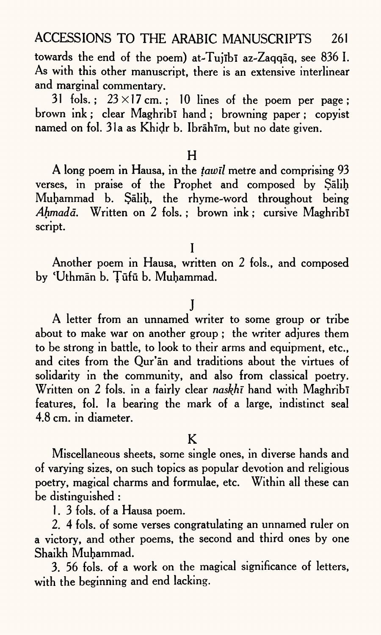towards the end of the poem) at-Tujībī az-Zaqqāq, see 836 I. As with this other manuscript, there is an extensive interlinear and marginal commentary.

31 fols.;  $23 \times 17$  cm.; 10 lines of the poem per page; brown ink; clear Maghribi hand; browning paper; copyist named on fol. 31a as Khidr b. Ibrāhīm, but no date given.

#### H

A long poem in Hausa, in the *tawil* metre and comprising 93 verses, in praise of the Prophet and composed by Salih Muhammad b. Salih, the rhyme-word throughout being Ahmadā. Written on 2 fols.; brown ink; cursive Maghribi script.

Another poem in Hausa, written on 2 fols., and composed by 'Uthman b. Tufu b. Muhammad.

I

# j

A letter from an unnamed writer to some group or tribe about to make war on another group ; the writer adjures them to be strong in battle, to look to their arms and equipment, etc., and cites from the Qur'an and traditions about the virtues of solidarity in the community, and also from classical poetry. Written on 2 fols. in a fairly clear *naskhi* hand with Maghribi features, fol. la bearing the mark of a large, indistinct seal 4.8 cm. in diameter.

#### K

Miscellaneous sheets, some single ones, in diverse hands and of varying sizes, on such topics as popular devotion and religious poetry, magical charms and formulae, etc. Within all these can be distinguished :

1. 3 fols. of a Hausa poem.

2. 4 fols. of some verses congratulating an unnamed ruler on a victory, and other poems, the second and third ones by one Shaikh Muhammad.

3. 56 fols. of a work on the magical significance of letters, with the beginning and end lacking.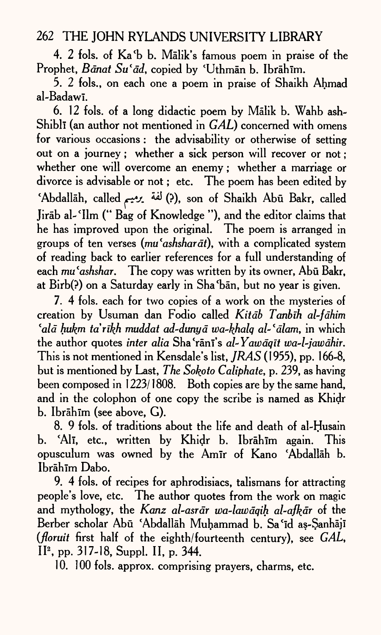4. 2 fols. of Ka'b b. Malik's famous poem in praise of the Prophet, *Bānat Su'ād*, copied by 'Uthmān b. Ibrāhīm.

5. 2 fols., on each one a poem in praise of Shaikh Ahmad al-BadawI.

6. 12 fols. of a long didactic poem by Malik b. Wahb ash-Shibli (an author not mentioned in *GAL)* concerned with omens for various occasions : the advisability or otherwise of setting out on a journey; whether a sick person will recover or not ; whether one will overcome an enemy; whether a marriage or divorce is advisable or not; etc. The poem has been edited by 'Abdallah, called *^j. &* (?), son of Shaikh Abu Bakr, called Jirab al-'Ilm (" Bag of Knowledge "), and the editor claims that he has improved upon the original. The poem is arranged in groups of ten verses (*mu'ashsharāt*), with a complicated system of reading back to earlier references for a full understanding of each *mu'ashshar*. The copy was written by its owner, Abū Bakr, at Birb(?) on a Saturday early in Sha'ban, but no year is given.

7. 4 fols. each for two copies of a work on the mysteries of creation by Usuman dan Fodio called *Kitdb Tanbih al-fdhim 'aid hukm tarikh muddat ad-dunyd wa~khalq al-'dlam,* in which the author quotes *inter alia* Sha'rani's *al-Yawdqtt wa-l-jawdhir.*  This is not mentioned in Kensdale's list, *JRAS* (1955), pp. 166-8, but is mentioned by Last, *The Sokoto Caliphate,* p. 239, as having been composed in 1223/1808. Both copies are by the same hand, and in the colophon of one copy the scribe is named as Khidr b. Ibrāhīm (see above, G).

8. 9 fols. of traditions about the life and death of al-Husain b. 'Alī, etc., written by Khidr b. Ibrāhīm again. This opusculum was owned by the Amir of Kano 'Abdallah b. Ibrāhīm Dabo.

9. 4 fols. of recipes for aphrodisiacs, talismans for attracting people's love, etc. The author quotes from the work on magic and mythology, the *Kanz al-asrdr wa-lawdqih al-afkdr* of the Berber scholar Abu 'Abdallah Muhammad b. Sa'id as-Sanhaji *(floruit* first half of the eighth/fourteenth century), see *GAL,*  II2 , pp. 317-18, Suppl. II, p. 344.

10. 100 fols. approx. comprising prayers, charms, etc.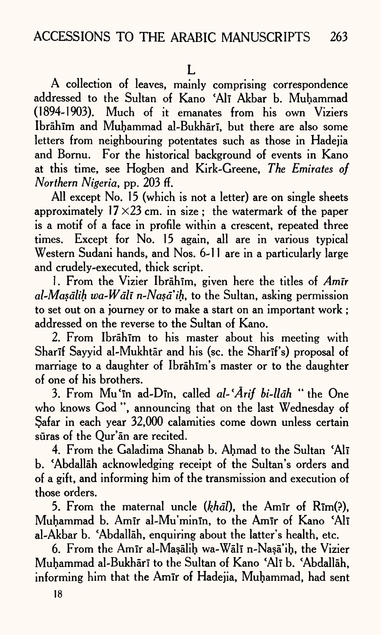A collection of leaves, mainly comprising correspondence addressed to the Sultan of Kano 'Alī Akbar b. Muhammad (1894-1903). Much of it emanates from his own Viziers Ibrāhīm and Muhammad al-Bukhārī, but there are also some letters from neighbouring potentates such as those in Hadejia and Bornu. For the historical background of events in Kano at this time, see Hogben and Kirk-Greene, *The Emirates of Northern Nigeria,* pp. 203 ff.

All except No. 15 (which is not a letter) are on single sheets approximately  $17 \times 23$  cm. in size : the watermark of the paper is a motif of a face in profile within a crescent, repeated three times. Except for No. 15 again, all are in various typical Western Sudani hands, and Nos. 6-11 are in a particularly large and crudely-executed, thick script.

1. From the Vizier Ibrahim, given here the titles of *Amir al-Masdlih wa-Wdll n-Nasaih,* to the Sultan, asking permission to set out on a journey or to make a start on an important work ; addressed on the reverse to the Sultan of Kano.

2. From Ibrāhīm to his master about his meeting with Sharif Sayyid al-Mukhtār and his (sc. the Sharif's) proposal of marriage to a daughter of Ibrahim's master or to the daughter of one of his brothers.

3. From Mu'in ad-Din, called *al-'Arif bi-llah* "the One who knows God ", announcing that on the last Wednesday of Safar in each year 32,000 calamities come down unless certain sūras of the Our'an are recited.

4. From the Galadima Shanab b. Ahmad to the Sultan 'All b. 'Abdallah acknowledging receipt of the Sultan's orders and of <sup>a</sup>gift, and informing him of the transmission and execution of those orders.

5. From the maternal uncle (khal), the Amir of Rim(?), Muhammad b. Amir al-Mu'minin, to the Amir of Kano 'Ali al-Akbar b. 'Abdallah, enquiring about the latter's health, etc.

6. From the Amir al-Mașalih wa-Wali n-Nașa'ih, the Vizier Muhammad al-Bukhārī to the Sultan of Kano 'Alī b. 'Abdallāh, informing him that the Amir of Hadejia, Muhammad, had sent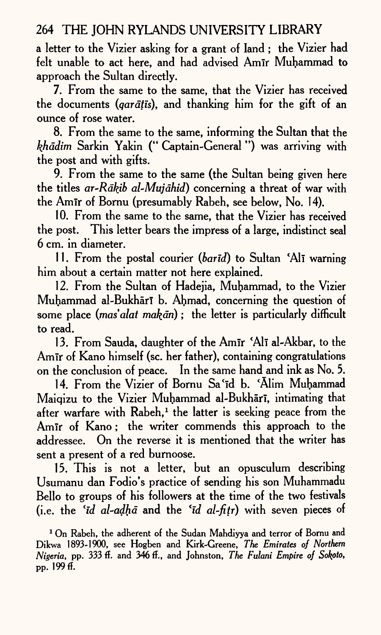<sup>a</sup>letter to the Vizier asking for a grant of land ; the Vizier had felt unable to act here, and had advised Amir Muhammad to approach the Sultan directly.

7. From the same to the same, that the Vizier has received the documents *(qardtis),* and thanking him for the gift of an ounce of rose water.

8. From the same to the same, informing the Sultan that the *khddim* Sarkin Yakin (" Captain-General ") was arriving with the post and with gifts.

9. From the same to the same (the Sultan being given here the titles *ar-Rdkib al-Mujdhid)* concerning a threat of war with the Amir of Bornu (presumably Rabeh, see below, No. 14).

10. From the same to the same, that the Vizier has received the post. This letter bears the impress of a large, indistinct seal 6 cm. in diameter.

11. From the postal courier *(band)* to Sultan 'All warning him about a certain matter not here explained.

12. From the Sultan of Hadejia, Muhammad, to the Vizier Muhammad al-Bukhārī b. Ahmad, concerning the question of some place *(mas'alat makan)* ; the letter is particularly difficult to read.

13. From Sauda, daughter of the Amir 'Ali al-Akbar, to the Amir of Kano himself (sc. her father), containing congratulations on the conclusion of peace. In the same hand and ink as No. 5.

14. From the Vizier of Bornu Sa'id b. 'Alim Muhammad Maiqizu to the Vizier Muhammad al-Bukhārī, intimating that after warfare with  $Rabeh<sup>1</sup>$  the latter is seeking peace from the Amir of Kano; the writer commends this approach to the addressee. On the reverse it is mentioned that the writer has sent a present of a red burnoose.

15. This is not a letter, but an opusculum describing Usumanu dan Fodio's practice of sending his son Muhammadu Bello to groups of his followers at the time of the two festivals (i.e. the *'id al-adhd* and the *lld al-fitr)* with seven pieces of

1 On Rabeh, the adherent of the Sudan Mahdiyya and terror of Bornu and Dikwa 1893-1900, see Hogben and Kirk-Greene, *The Emirates of Northern Nigeria,* pp. 333 ff. and 346 *fi.,* and Johnston, *The Fulani Empire of Sokpto,*  pp. 199ff.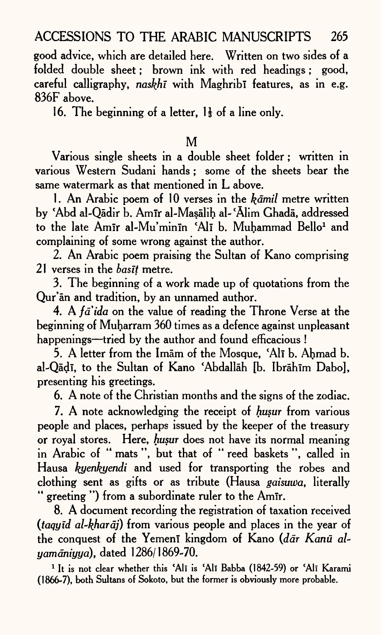good advice, which are detailed here. Written on two sides of a folded double sheet; brown ink with red headings; good, careful calligraphy, *naskhi* with Maghribi features, as in e.g. 836F above.

16. The beginning of a letter,  $1\frac{1}{3}$  of a line only.

#### M

Various single sheets in a double sheet folder; written in various Western Sudani hands; some of the sheets bear the same watermark as that mentioned in L above.

1. An Arabic poem of 10 verses in the *kdmil* metre written by Abd al-Qadir b. Amir al-Masalih al- 'Alim Ghada, addressed to the late Amir al-Mu'minin 'Ali b. Muhammad Bello<sup>1</sup> and complaining of some wrong against the author.

2. An Arabic poem praising the Sultan of Kano comprising 21 verses in the *basit* metre.

3. The beginning of a work made up of quotations from the Qur'an and tradition, by an unnamed author.

4. A *jaida* on the value of reading the Throne Verse at the beginning of Muharram 360 times as a defence against unpleasant happenings—tried by the author and found efficacious !

5. A letter from the Imam of the Mosque, 'All b. Ahmad b. al-Qādī, to the Sultan of Kano 'Abdallāh [b. Ibrāhīm Dabo], presenting his greetings.

6. A note of the Christian months and the signs of the zodiac.

7. A note acknowledging the receipt of *husur* from various people and places, perhaps issued by the keeper of the treasury or royal stores. Here, *husur* does not have its normal meaning in Arabic of " mats ", but that of " reed baskets ", called in Hausa *kyenkyendi* and used for transporting the robes and clothing sent as gifts or as tribute (Hausa *gaisuwa,* literally " greeting ") from a subordinate ruler to the Amir.

8. A document recording the registration of taxation received *(taqyid al-khardj)* from various people and places in the year of the conquest of the Yemeni kingdom of Kano *(där Kanū alyamdniyyd),* dated 1286/1869-70.

<sup>1</sup> It is not clear whether this 'Ali is 'Ali Babba (1842-59) or 'Ali Karami (1866-7), both Sultans of Sokoto, but the former is obviously more probable.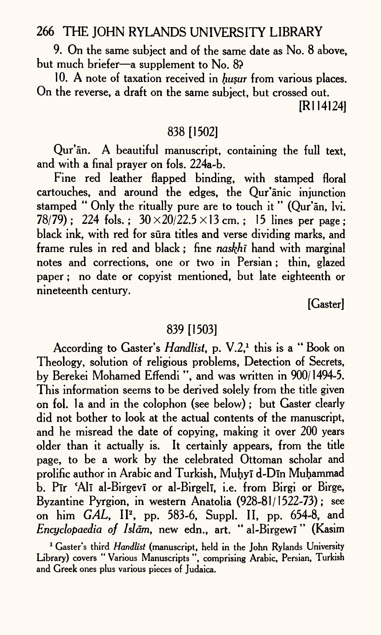9. On the same subject and of the same date as No. 8 above, but much briefer-a supplement to No. 8?

10. A note of taxation received in *husur* from various places. On the reverse, a draft on the same subject, but crossed out.

[Rl 14124]

## 838 [1502]

Qur'an. A beautiful manuscript, containing the full text, and with a final prayer on fols. 224a-b.

Fine red leather flapped binding, with stamped floral cartouches, and around the edges, the Qur'anic injunction stamped " Only the ritually pure are to touch it " (Qur'an, lvi. 78/79); 224 fols.;  $30 \times 20/22.5 \times 13$  cm.; 15 lines per page; black ink, with red for sura titles and verse dividing marks, and frame rules in red and black; fine *naskhi* hand with marginal notes and corrections, one or two in Persian; thin, glazed paper; no date or copyist mentioned, but late eighteenth or nineteenth century.

[Gaster]

#### 839 [1503]

According to Gaster's *Handlist*, p. V.2,<sup>1</sup> this is a "Book on Theology, solution of religious problems, Detection of Secrets, by Berekei Mohamed Effendi ", and was written in 900/1494-5. This information seems to be derived solely from the title given on fol. 1a and in the colophon (see below); but Gaster clearly did not bother to look at the actual contents of the manuscript, and he misread the date of copying, making it over 200 years older than it actually is. It certainly appears, from the title page, to be a work by the celebrated Ottoman scholar and prolific author in Arabic and Turkish, Muhvī d-Dīn Muhammad b. Pir 'Ali al-Birgevi or al-Birgeli, i.e. from Birgi or Birge, Byzantine Pyrgion, in western Anatolia (928-81/1522-73); see on him *GAL*, II<sup>2</sup>, pp. 583-6, Suppl. II, pp. 654-8, and *Encyclopaedia of Islam,* new edn., art. " al-Birgewi" (Kasim

<sup>&</sup>lt;sup>1</sup> Gaster's third *Handlist* (manuscript, held in the John Rylands University Library) covers " Various Manuscripts ", comprising Arabic, Persian, Turkish and Greek ones plus various pieces of Judaica.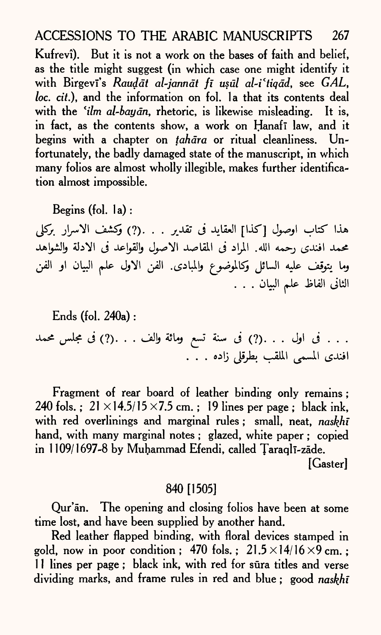Kufrevi). But it is not a work on the bases of faith and belief, as the title might suggest (in which case one might identify it with Birgevi's *Raudat al-jannat fi usul al-i'tigad*, see *GAL*, *loc. cit.*), and the information on fol. Ia that its contents deal with the *'ilm al-bayān*, rhetoric, is likewise misleading. It is, in fact, as the contents show, a work on Hanafi law, and it begins with a chapter on *tahdra* or ritual cleanliness. Unfortunately, the badly damaged state of the manuscript, in which many folios are almost wholly illegible, makes further identification almost impossible.

Begins (fol. la) :

هذا كتاب اوصول [كذا] العقايد في تقدير . . .(?) وكشف الاسرار بركلي محمد افندى رحمه الله. المراد في المقاصد الاصول والقواعد في الادلة والشواهد وما يتوقف عليه السائل وكالموضوع والمبادى. الفن الاول علم البيان او الفن الثانى الفاظ علم البيان . . .

Ends (fol. 240a) : . . . فى اول . . . (?) فى سنة تسع ومائة والف . . . (?) فى مجلس محمد افندي المسمى الملقب بطرقلي زاده . . .

Fragment of rear board of leather binding only remains ; 240 fols.;  $21 \times 14.5/15 \times 7.5$  cm.; 19 lines per page; black ink, with red overlinings and marginal rules ; small, neat, *naskhi*  hand, with many marginal notes ; glazed, white paper ; copied in 1109/1697-8 by Muhammad Efendi, called Taraqli-zāde. [Gaster]

840 [1505]

Qur'an. The opening and closing folios have been at some time lost, and have been supplied by another hand.

Red leather flapped binding, with floral devices stamped in gold, now in poor condition; 470 fols.;  $21.5 \times 14/16 \times 9$  cm.; 11 lines per page; black ink, with red for sūra titles and verse dividing marks, and frame rules in red and blue ; good *naskhi*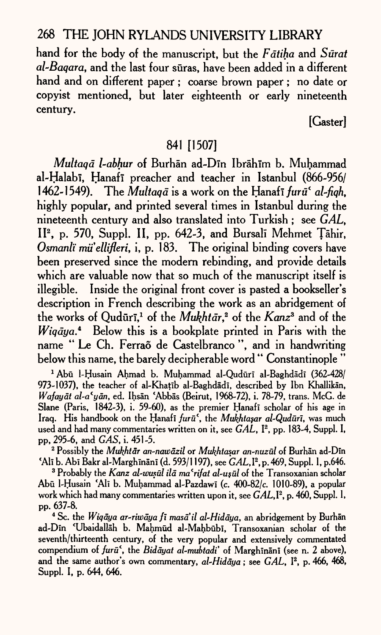hand for the body of the manuscript, but the *Fatiha* and *Surat al-Baqara,* and the last four suras, have been added in a different hand and on different paper ; coarse brown paper; no date or copyist mentioned, but later eighteenth or early nineteenth century.

[Gaster]

#### 841 [1507]

*Multaqd l-abhur* of Burhan ad-Din Ibrahlm b. Muhammad al-Halabī, Hanafī preacher and teacher in Istanbul (866-956/ 1462-1549). The *Multaga* is a work on the Hanaf<del>i</del> furu<sup>c</sup> al-figh, highly popular, and printed several times in Istanbul during the nineteenth century and also translated into Turkish ; see *GAL,*  IP, p. 570, Suppl. II, pp. 642-3, and Bursali Mehmet Tahir, *Osmanli mti'ellifleri,* i, p. 183. The original binding covers have been preserved since the modern rebinding, and provide details which are valuable now that so much of the manuscript itself is illegible. Inside the original front cover is pasted a bookseller's description in French describing the work as an abridgement of the works of Qudūrī,<sup>1</sup> of the *Mukhtār*,<sup>2</sup> of the *Kanz*<sup>3</sup> and of the *Wigāya*.<sup>4</sup> Below this is a bookplate printed in Paris with the name "Le Ch. Ferrao de Castelbranco", and in handwriting below this name, the barely decipherable word " Constantinople "

<sup>1</sup> Abū 1-Husain Ahmad b. Muhammad al-Qudūrī al-Baghdādī (362-428/ 973-1037), the teacher of al-Khatib al-Baghdadi, described by Ibn Khallikan, *Wafayat al-a'yan,* ed. Ihsan 'Abbas (Beirut, 1968-72), i. 78-79, trans. McG. de Slane (Paris,  $1842-3$ ), i. 59-60), as the premier Hanafi scholar of his age in Iraq. His handbook on the Hanafi *furu1,* the *Mukhta§ar al~Quduri,* was much used and had many commentaries written on it, see *GAL,* I2 , pp. 183-4, Suppl. I, PP, 295-6, and *GAS.i.* 451-5.

2 Possibly the *Mukhtar an-nawdzil* or *Mukhtasar an-nuzul* of Burhan ad-Din <Ali b. Abi Bakr al-Marghinani (d. 593/1197), see *GAL,*I2 , p. 469, Suppl. I, p.646.

<sup>3</sup> Probably the *Kanz al-wusūl ilā ma* '*rifat al-usūl* of the Transoxanian scholar Abu 1-Husain 'Ali b. Muhammad al-Pazdawi (c. 400-82/c. 1010-89), <sup>a</sup>popular work which had many commentaries written upon it, see *GAL*,<sup> $\bf{I}^2$ , p. 460, Suppl. I,</sup> pp. 637-8.

4 Sc. the *Wiqaya ar-riwaya fi masd'il al-Hidaya,* an abridgement by Burhan ad-Din 'Ubaidallah b. Mahmud al-Mahbubi, Transoxanian scholar of the seventh/thirteenth century, of the very popular and extensively commentated compendium of *furū<sup>c</sup>*, the *Bidāyat al-mubtadi'* of Marghināni (see n. 2 above), and the same author's own commentary, *al-Hidaya*; see *GAL*, <sup>12</sup>, p. 466, 468, Suppl. I, p. 644, 646.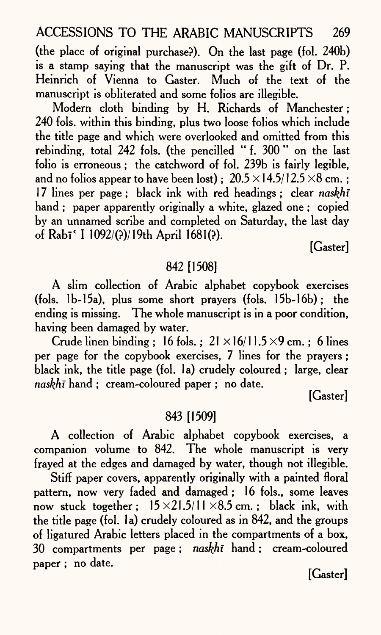(the place of original purchase?). On the last page (fol. 240b) is a stamp saying that the manuscript was the gift of Dr. P. Heinrich of Vienna to Caster. Much of the text of the manuscript is obliterated and some folios are illegible.

Modern cloth binding by H. Richards of Manchester; 240 fols. within this binding, plus two loose folios which include the title page and which were overlooked and omitted from this rebinding, total 242 fols. (the pencilled "f. 300" on the last folio is erroneous; the catchword of fol. 239b is fairly legible, and no folios appear to have been lost) ;  $20.5 \times 14.5/12.5 \times 8$  cm.; 17 lines per page; black ink with red headings; clear *naskhi*  hand ; paper apparently originally a white, glazed one ; copied by an unnamed scribe and completed on Saturday, the last day of Rabi< I 1092/(?)/19th April 1681(?).

[Gaster]

## 842 [1508]

A slim collection of Arabic alphabet copybook exercises (fols. lb-15a), plus some short prayers (fols. 15b-16b); the ending is missing. The whole manuscript is in a poor condition, having been damaged by water.

Crude linen binding : 16 fols. :  $21 \times 16/11.5 \times 9$  cm. : 6 lines per page for the copybook exercises, 7 lines for the prayers; black ink, the title page (fol. 1a) crudely coloured ; large, clear *naskhi* hand ; cream-coloured paper ; no date.

[Gaster]

#### 843 [1509]

A collection of Arabic alphabet copybook exercises, a companion volume to 842. The whole manuscript is very frayed at the edges and damaged by water, though not illegible.

Stiff paper covers, apparently originally with a painted floral pattern, now very faded and damaged; 16 fols., some leaves now stuck together:  $15 \times 21.5/11 \times 8.5$  cm.; black ink, with the title page (fol. la) crudely coloured as in 842, and the groups of ligatured Arabic letters placed in the compartments of a box, 30 compartments per page; *naskhi* hand; cream-coloured paper ; no date.

[Gaster]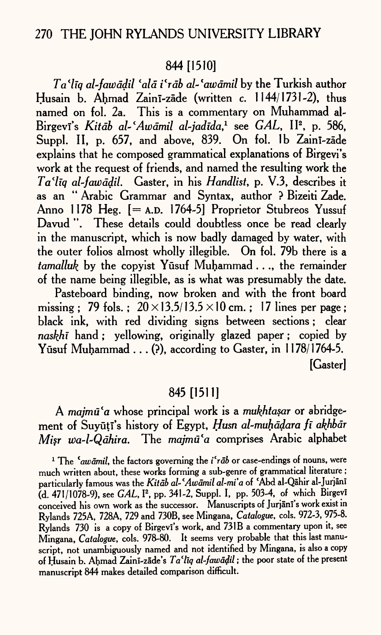## 844 [1510]

*Ta\*liq al-fau)ddil lald i'rdb al- lawdmil* by the Turkish author Husain b. Ahmad Zainī-zāde (written c. 1144/1731-2), thus named on fol. 2a. This is a commentary on Muhammad al-Birgevi's *Kitāb al-'Awāmil al-jadīda*,<sup>1</sup> see *GAL*, II<sup>2</sup>, p. 586, Suppl. II, p. 657, and above, 839. On fol. 1b Zaini-zade explains that he composed grammatical explanations of Birgevi's work at the request of friends, and named the resulting work the *Ta'liq al-fawddil.* Gaster, in his *Handlist,* p. V.3, describes it as an " Arabic Grammar and Syntax, author ? Bizeiti Zade. Anno 1178 Heg. [= A.D. 1764-5] Proprietor Stubreos Yussuf Davud ". These details could doubtless once be read clearly in the manuscript, which is now badly damaged by water, with the outer folios almost wholly illegible. On fol. 79b there is <sup>a</sup> *tamalluk* by the copyist Yūsuf Muhammad . . ., the remainder of the name being illegible, as is what was presumably the date.

Pasteboard binding, now broken and with the front board missing : 79 fols. :  $20 \times 13.5/13.5 \times 10$  cm. : 17 lines per page : black ink, with red dividing signs between sections; clear *naskhi* hand ; yellowing, originally glazed paper; copied by Yūsuf Muhammad  $\ldots$  (?), according to Gaster, in 1178/1764-5. [Gaster]

# 845 [1511]

A majmū'a whose principal work is a *mukhtasar* or abridgement of Suyūți's history of Egypt, Husn al-muḥāḍara fī akhbār *Misr wa-l-Qāhira.* The *majmū'a* comprises Arabic alphabet

<sup>1</sup> The <sup>*cawamil*, the factors governing the *i*<sup>*f*</sup>*rab* or case-endings of nouns, were</sup> much written about, these works forming a sub-genre of grammatical literature ; particularly famous was the *Kitdb al~ <sup>l</sup>Awdmil al-mi'a* of Abd al-Qahir al-Jurjani (d. 471/1078-9), see *GAL*, <sup>12</sup>, pp. 341-2, Suppl. I, pp. 503-4, of which Birgevi conceived his own work as the successor. Manuscripts of Jurjānī's work exist in Rylands 725A, 728A, 729 and 730B, see Mingana, *Catalogue,* cols. 972-3, 975-8. Rylands 730 is a copy of Birgevi's work, and 731B a commentary upon it, see Mingana, *Catalogue,* cols. 978-80. It seems very probable that this last manuscript, not unambiguously named and not identified by Mingana, is also a copy of Husain b. Ahmad Zainī-zāde's Ta'liq al-fawadil; the poor state of the present manuscript 844 makes detailed comparison difficult.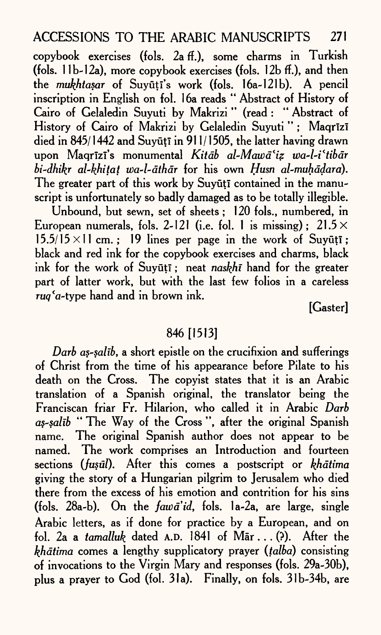copybook exercises (fols. 2a ff.), some charms in Turkish (fols.  $11b-12a$ ), more copybook exercises (fols.  $12b$  ff.), and then the *mukhtasar* of Suyūtī's work (fols. 16a-121b). A pencil inscription in English on fol. 16a reads " Abstract of History of Cairo of Gelaledin Suyuti by Makrizi " (read : " Abstract of History of Cairo of Makrizi by Gelaledin Suyuti"; Maqrīzī died in 845/1442 and Suyūțī in 911/1505, the latter having drawn upon Maqrlzl's monumental *Kitdb al-Mawd'iz wa-l-iltibdr bi-dhikr al-kfiitat u)a~l~dthdr* for his own *Husn al-muhddara).*  The greater part of this work by Suvūtī contained in the manuscript is unfortunately so badly damaged as to be totally illegible.

Unbound, but sewn, set of sheets; 120 fols., numbered, in European numerals, fols. 2-121 (i.e. fol. 1 is missing);  $21.5 \times$  $15.5/15 \times 11$  cm.; 19 lines per page in the work of Suyuti; black and red ink for the copybook exercises and charms, black ink for the work of Suyuti; neat *naskhi* hand for the greater part of latter work, but with the last few folios in a careless rug<sup>c</sup>a-type hand and in brown ink.

[Gaster]

## 846 [1513]

*Darb as-salib*, a short epistle on the crucifixion and sufferings of Christ from the time of his appearance before Pilate to his death on the Cross. The copyist states that it is an Arabic translation of a Spanish original, the translator being the Franciscan friar Fr. Hilarion, who called it in Arabic *Darb as-salib* " The Way of the Cross ", after the original Spanish name. The original Spanish author does not appear to be named. The work comprises an Introduction and fourteen sections *(fusul)*. After this comes a postscript or *khātima* giving the story of a Hungarian pilgrim to Jerusalem who died there from the excess of his emotion and contrition for his sins (fols. 28a-b). On the *fawd'id,* fols. 1a-2a, are large, single Arabic letters, as if done for practice by a European, and on fol. 2a a *tamalluk* dated A.D. 1841 of Mar.. . (?). After the *khātima* comes a lengthy supplicatory prayer *(talba)* consisting of invocations to the Virgin Mary and responses (fols. 29a-30b), plus a prayer to God (fol. 3la). Finally, on fols. 31b-34b, are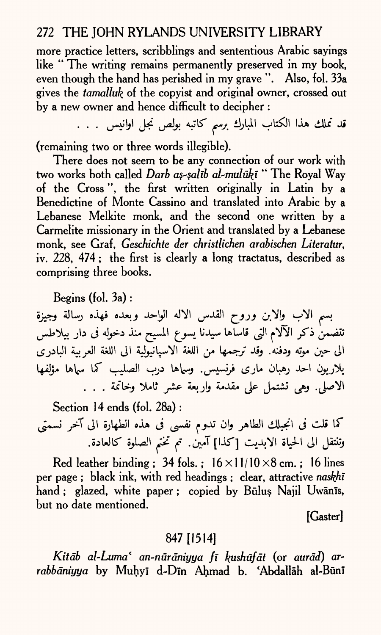more practice letters, scribblings and sententious Arabic sayings like " The writing remains permanently preserved in my book, even though the hand has perished in my grave ". Also, fol. 33a gives the *tamalluk* of the copyist and original owner, crossed out by a new owner and hence difficult to decipher :

قد تملك هذا الكتاب المبارك برسم كاتبه بولص نجل اوانيس . . . .

(remaining two or three words illegible).

There does not seem to be any connection of our work with two works both called *Darb as-salib al-muluki* " The Royal Way of the Cross ", the first written originally in Latin by <sup>a</sup> Benedictine of Monte Cassino and translated into Arabic by <sup>a</sup> Lebanese Melkite monk, and the second one written by <sup>a</sup> Carmelite missionary in the Orient and translated by a Lebanese monk, see Graf, *Geschichte der christlichen arabischen Literatur, iv.* 228, 474 ; the first is clearly a long tractatus, described as comprising three books.

Begins (fol. 3a) :

بسم الاب والابن وروح القدس الاله الواحد وبعده فهذه رسالة وجيزة تنضمنْ ذكر الآلام التي قاساها سيدنا يسوع المسيح منذ دخوله فى دار بيلاطس الى حين موتِه ودفنه. وقد ترجمها من اللغة الاسيانيولية الى اللغة العربية البادري يلاريون احد رهبان ماري فرنسيس وسماها درب الصليب كما سماها مؤلفها الاصلي. وهي تشتمل على مقدمة واربعة عشر ثاملا وخاتمة . . .

Section 14 ends (fol. 28a): كما قلت فى انجيلك الطاهر وان تدوم نفسى فى هذه الطهارة الى آخر نسمتى وتنتقل الى الحياة الابديت [كذا] آمين. تم تختم الصلوة كالعادة.

Red leather binding ; 34 fols. ;  $16 \times 11/10 \times 8$  cm. ; 16 lines per page ; black ink, with red headings ; clear, attractive *naskhi*  hand; glazed, white paper; copied by Būlus Najil Uwānīs, but no date mentioned.

[Caster]

## 847 [1514]

*Kitdb al-Luma 1 an-nurdniyya fi kushufdt* (or *aurdd) or*rabbāniyya by Muhyī d-Dīn Ahmad b. 'Abdallāh al-Būnī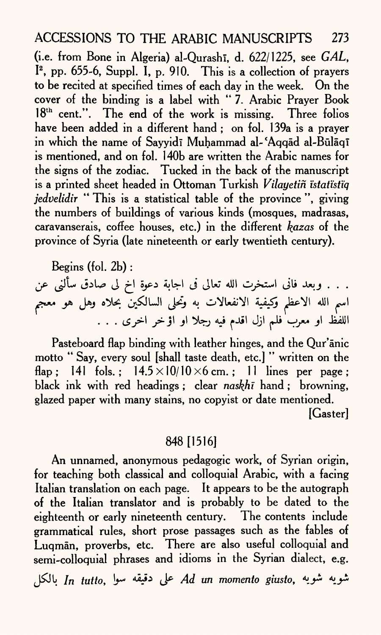(i.e. from Bone in Algeria) al-Qurash<sub>1</sub>, d. 622/1225, see *GAL*, I2 , pp. 655-6, Suppl. I, p. 910. This is a collection of prayers to be recited at specified times of each day in the week. On the cover of the binding is a label with " 7. Arabic Prayer Book 18<sup>th</sup> cent.". The end of the work is missing. Three folios have been added in a different hand ; on fol. 139a is a prayer in which the name of Sayyidi Muhammad al-'Aqqad al-Bulaqi is mentioned, and on fol. 1 40b are written the Arabic names for the signs of the zodiac. Tucked in the back of the manuscript is a printed sheet headed in Ottoman Turkish *Vilayetin istatistiq jedvelidir* " This is a statistical table of the province", giving the numbers of buildings of various kinds (mosques, madrasas, caravanserais, coffee houses, etc.) in the different *kazas* of the province of Syria (late nineteenth or early twentieth century).

Begins (fol. 2b) :

. . . وبعد فانى استخرت الله تعالى فى اجابة دعوة اخ لى صادق سألنى عن<br>اسم الله الاعظم وكيفية الانفعالات به وتحلى السالكين بحلاه وهل هو معجم<br>اللفظ او معرب فلم ازل اقدم فيه رجلا او اؤخر اخرى . . .

Pasteboard flap binding with leather hinges, and the Qur'anic motto " Say, every soul [shall taste death, etc.] " written on the flap: 141 fols.:  $14.5 \times 10/10 \times 6$  cm.: 11 lines per page: black ink with red headings ; clear *naskhi* hand ; browning, glazed paper with many stains, no copyist or date mentioned. [Gaster]

## 848 [1516]

An unnamed, anonymous pedagogic work, of Syrian origin, for teaching both classical and colloquial Arabic, with a facing Italian translation on each page. It appears to be the autograph of the Italian translator and is probably to be dated to the eighteenth or early nineteenth century. The contents include grammatical rules, short prose passages such as the fables of Luqman, proverbs, etc. There are also useful colloquial and semi-colloquial phrases and idioms in the Syrian dialect, e.g. *In tutto, }f t\*\*\*\* (^ Ad un momento gimto,*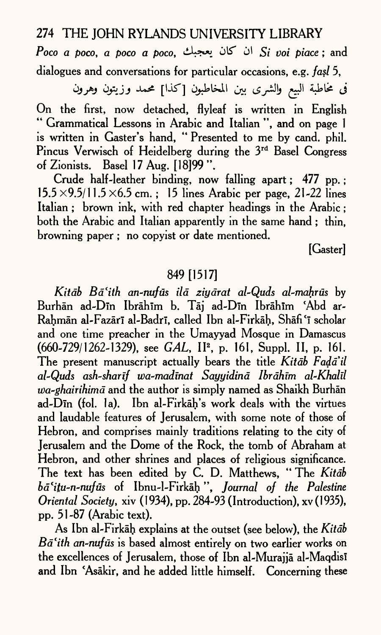*Poco a poco, a poco a poco, لأ* كان يعجبك  $S_i$  *voi piace* ; and dialogues and conversations for particular occasions, e.g. *fasl* 5,

في مُحاطبة البيع والشرى بين المخاطبون [كذا] محمد وزيتون وهرون On the first, now detached, flyleaf is written in English " Grammatical Lessons in Arabic and Italian ", and on page 1 is written in Caster's hand, " Presented to me by cand. phil. Pincus Verwisch of Heidelberg during the 3rd Basel Congress of Zionists. Basel 17 Aug. [18]99".

Crude half-leather binding, now falling apart ; 477 pp. ;  $15.5 \times 9.5/11.5 \times 6.5$  cm. ; 15 lines Arabic per page, 21-22 lines Italian ; brown ink, with red chapter headings in the Arabic ; both the Arabic and Italian apparently in the same hand ; thin, browning paper ; no copyist or date mentioned.

[Caster]

## 849[1517]

*Kitdb Bd'ith an-nufus ild ziydrat al-Quds al-mahrus* by Burhān ad-Dīn Ibrāhīm b. Tāj ad-Dīn Ibrāhīm 'Abd ar-Rahmān al-Fazārī al-Badrī, called Ibn al-Firkāh, Shāfi 'ī scholar and one time preacher in the Umayyad Mosque in Damascus (660-729/1262-1329), see *GAL,* II2 , p. 161, Suppl. II, p. 161. The present manuscript actually bears the title *Kitab Fada'il al-Quds ash-sharif wa-madmat Sayyidind Ibrdhim al-Khalil wa~ghairihimd* and the author is simply named as Shaikh Burhan ad-Din (fol. la). Ibn al-Firkah's work deals with the virtues and laudable features of Jerusalem, with some note of those of Hebron, and comprises mainly traditions relating to the city of Jerusalem and the Dome of the Rock, the tomb of Abraham at Hebron, and other shrines and places of religious significance. The text has been edited by C. D. Matthews, "The Kitab *bd'itu-n-nufiis* of Ibnu-1-Firkah ", *Journal of the Palestine Oriental Society,* xiv (1934), pp. 284-93 (Introduction), xv(1935), pp. 51-87 (Arabic text).

As Ibn al-Firkah explains at the outset (see below), the *Kitdb*  Ba'ith an-nufus is based almost entirely on two earlier works on the excellences of Jerusalem, those of Ibn al-Murajjā al-Maqdisī and Ibn 'Asakir, and he added little himself. Concerning these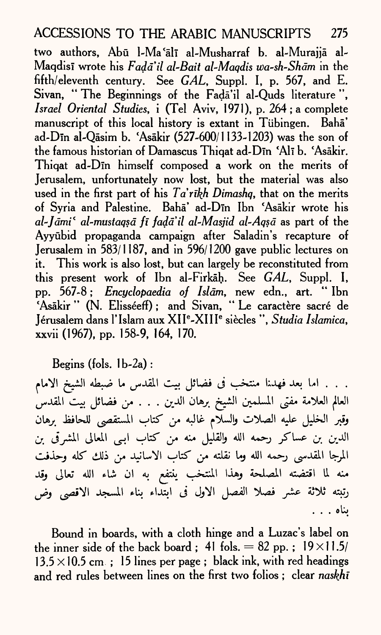two authors, Abū l-Ma'ālī al-Musharraf b. al-Murajjā al-Maqdis! wrote his *Fadail al-Bait al-Maqdis wa-sh-Shdm* in the fifth/eleventh century. See *GAL,* Suppl. I, p. 567, and E. Sivan, \*' The Beginnings of the Fada'il al-Quds literature ", *Israel Oriental Studies, i (Tel Aviv, 1971), p. 264; a complete* manuscript of this local history is extant in Tubingen. Baha' ad-Din al-Qasim b. 'Asakir (527-600/1 133-1203) was the son of the famous historian of Damascus Thiqat ad-Dīn 'Alī b. 'Asākir. Thiqat ad-Din himself composed a work on the merits of Jerusalem, unfortunately now lost, but the material was also used in the first part of his *Ta'rikh Dimashq*, that on the merits of Syria and Palestine. Baha' ad-Din Ibn 'Asakir wrote his *al'Jdmi\* al-mustaqsd fi fadail al-Masjid al-Aqsd* as part of the Ayyubid propaganda campaign after Saladin's recapture of Jerusalem in 583/1187, and in 596/1200 gave public lectures on it. This work is also lost, but can largely be reconstituted from this present work of Ibn al-Firkah. See *GAL,* Suppl. I, pp. 567-8 ; *Encyclopaedia of Islam,* new edn., art. " Ibn 'Asākir " (N. Elisséeff); and Sivan, "Le caractère sacré de Jerusalem dans 1' Islam aux XII <sup>e</sup>-XIIIe siecles ", *Studia Islamica,*  xxvii (1967), pp. 158-9, 164, 170.

Begins (fols.  $1b-2a$ ):

. . . اما بعد فهدنا منتخب فى فضائل بيت المقدس ما ضبطه الشيخ الامام العالم العلامة مفتى المسلمين الشيخ برهان الدين . . . من فضائل بيت المقدس وقبر الخليل عليه الصلات والسلام غالبه من كتاب المستقصى للحافظ برهان الدين بن عساكر رحمه الله والقليل منه من كتاب ابيي المعالي المشرقي بن المرجا المقدسي رحمه الله وما نقلته من كتاب الاسانيد من ذلك كله وحذفت منه لما اقتضته المصلحة وهذا المنتخب ينتفع به ان شاء الله تعالى وقد رتبته ثلاثة عشر فصلا الفصل الاول فى ابتداء بناء المسجد الاقصى وض ىناە . . .

Bound in boards, with a cloth hinge and a Luzac's label on the inner side of the back board; 41 fols.  $= 82$  pp.;  $19 \times 11.5/$  $13.5 \times 10.5$  cm ; 15 lines per page; black ink, with red headings and red rules between lines on the first two folios ; clear *naskhl*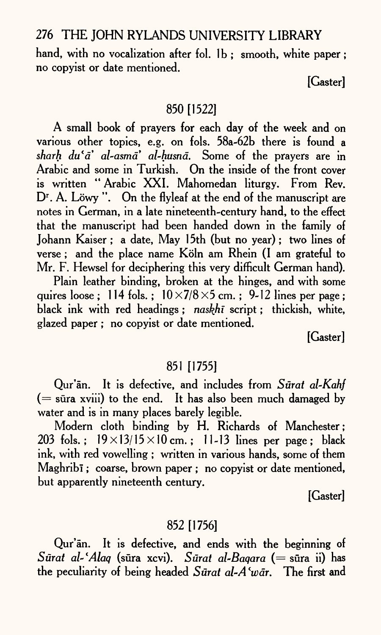hand, with no vocalization after fol. 1b; smooth, white paper; no copyist or date mentioned.

[Gaster]

## 850 [1522]

A small book of prayers for each day of the week and on various other topics, e.g. on fols. 58a-62b there is found <sup>a</sup> *sharh du'a' al-asma' al-husna*. Some of the prayers are in Arabic and some in Turkish. On the inside of the front cover is written " Arabic XXI. Mahomedan liturgy. From Rev. D<sup>r</sup>. A. Löwy ". On the flyleaf at the end of the manuscript are notes in German, in a late nineteenth-century hand, to the effect that the manuscript had been handed down in the family of Johann Kaiser; a date, May 15th (but no year); two lines of verse : and the place name Köln am Rhein (I am grateful to Mr. F. Hewsel for deciphering this very difficult German hand).

Plain leather binding, broken at the hinges, and with some quires loose : 114 fols. :  $10 \times 7/8 \times 5$  cm. : 9-12 lines per page : black ink with red headings ; *naskhi* script; thickish, white, glazed paper ; no copyist or date mentioned.

[Gaster]

#### 851 [1755]

Qur'an. It is defective, and includes from *Surat al-Kahf (=* sura xviii) to the end. It has also been much damaged by water and is in many places barely legible.

Modern cloth binding by H. Richards of Manchester; 203 fols.;  $19 \times 13/15 \times 10$  cm.; 11-13 lines per page; black ink, with red vowelling ; written in various hands, some of them Maghribī; coarse, brown paper; no copyist or date mentioned, but apparently nineteenth century.

[Gaster]

## 852 [1756]

Qur'an. It is defective, and ends with the beginning of *Surat al-'Alaq* (sura xcvi). *Surat al-Baqara (=* sura ii) has the peculiarity of being headed *Surat al~A lwdr.* The first and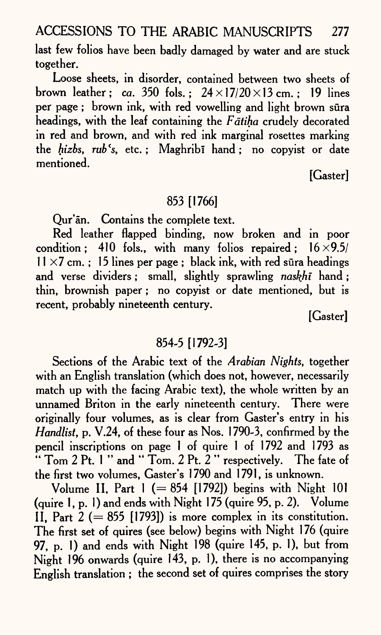last few folios have been badly damaged by water and are stuck together.

Loose sheets, in disorder, contained between two sheets of brown leather: *ca.* 350 fols.:  $24 \times 17/20 \times 13$  cm.: 19 lines per page; brown ink, with red vowelling and light brown sūra headings, with the leaf containing the *Fatiha* crudely decorated in red and brown, and with red ink marginal rosettes marking the *hizbs, rub's*, etc.; Maghribi hand; no copyist or date mentioned.

[Gaster]

## 853 [1766]

Qur'an. Contains the complete text.

Red leather flapped binding, now broken and in poor condition; 410 fols., with many folios repaired;  $16 \times 9.5/$  $11 \times 7$  cm.; 15 lines per page; black ink, with red sura headings and verse dividers; small, slightly sprawling *naskhi* hand ; thin, brownish paper; no copyist or date mentioned, but is recent, probably nineteenth century.

[Gaster]

## 854-5 [1792-3]

Sections of the Arabic text of the *Arabian Nights,* together with an English translation (which does not, however, necessarily match up with the facing Arabic text), the whole written by an unnamed Briton in the early nineteenth century. There were originally four volumes, as is clear from Caster's entry in his *Handlist,* p. V.24, of these four as Nos. 1790-3, confirmed by the pencil inscriptions on page 1 of quire 1 of 1792 and 1793 as  $\cdots$  Tom 2 Pt. 1 " and " Tom. 2 Pt. 2 " respectively. The fate of the first two volumes, Caster's 1790 and 1791, is unknown.

Volume II, Part  $1 (= 854$  [1792]) begins with Night 101 (quire 1, p. 1) and ends with Night 175 (quire 95, p. 2). Volume II, Part  $2 (= 855$  [1793]) is more complex in its constitution. The first set of quires (see below) begins with Night 176 (quire 97, p. 1) and ends with Night 198 (quire 145, p. 1), but from Night 196 onwards (quire 143, p. 1), there is no accompanying English translation ; the second set of quires comprises the story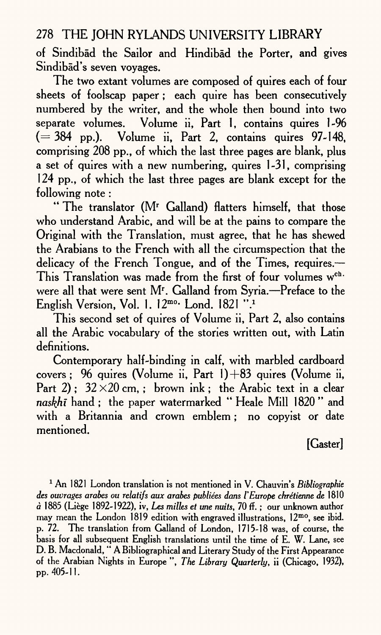of Sindibad the Sailor and Hindibad the Porter, and gives Sindibad's seven voyages.

The two extant volumes are composed of quires each of four sheets of foolscap paper; each quire has been consecutively numbered by the writer, and the whole then bound into two separate volumes. Volume ii, Part 1, contains quires 1-96  $( = 384 \text{ pp.})$ . Volume ii, Part 2, contains quires 97-148, comprising 208 pp., of which the last three pages are blank, plus a set of quires with a new numbering, quires 1-31, comprising 124 pp., of which the last three pages are blank except for the following note :

" The translator (Mr Galland) flatters himself, that those who understand Arabic, and will be at the pains to compare the Original with the Translation, must agree, that he has shewed the Arabians to the French with all the circumspection that the delicacy of the French Tongue, and of the Times, requires. This Translation was made from the first of four volumes w<sup>ch.</sup> were all that were sent M<sup>r</sup>. Galland from Syria.—Preface to the English Version, Vol. 1.  $12^{mo}$  Lond. 1821 ".

This second set of quires of Volume ii, Part 2, also contains all the Arabic vocabulary of the stories written out, with Latin definitions.

Contemporary half-binding in calf, with marbled cardboard covers ; 96 quires (Volume ii, Part  $1)+83$  quires (Volume ii, Part 2):  $32 \times 20$  cm, ; brown ink; the Arabic text in a clear *naskhi* hand ; the paper watermarked " Heale Mill 1820 " and with a Britannia and crown emblem; no copyist or date mentioned.

[Gaster]

1 An 1821 London translation is not mentioned in V. Chauvin's *Bibliographic des ouvrages arabes ou relatifs aux arabes publiees dans I'Europe ckretienne de* 1810 *<sup>a</sup>*1885 (Liege 1892-1922), iv, *Les milles et me nuits,* 70 *fi.;* our unknown author may mean the London 1819 edition with engraved illustrations, 12<sup>mo</sup>, see ibid. p. 72. The translation from Galland of London, 1715-18 was, of course, the basis for all subsequent English translations until the time of E. W. Lane, see D. B. Macdonald, " A Bibliographical and Literary Study of the First Appearance of the Arabian Nights in Europe ", *The Library Quarterly,* ii (Chicago, 1932), pp. 405-11.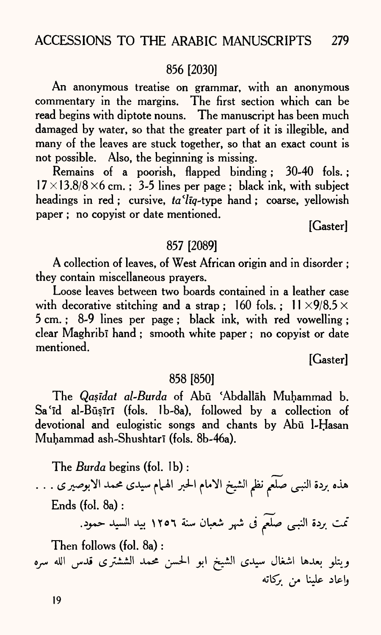## 856 [2030]

An anonymous treatise on grammar, with an anonymous commentary in the margins. The first section which can be read begins with diptote nouns. The manuscript has been much damaged by water, so that the greater part of it is illegible, and many of the leaves are stuck together, so that an exact count is not possible. Also, the beginning is missing.

Remains of a poorish, flapped binding; 30-40 fols.;  $17 \times 13.8/8 \times 6$  cm.; 3-5 lines per page; black ink, with subject headings in red ; cursive,  $ta'liq$ -type hand ; coarse, yellowish paper ; no copyist or date mentioned.

[Gaster]

#### 857 [2089]

A collection of leaves, of West African origin and in disorder ; they contain miscellaneous prayers.

Loose leaves between two boards contained in a leather case with decorative stitching and a strap; 160 fols.;  $11 \times 9/8.5 \times$ 5 cm. ; 8-9 lines per page ; black ink, with red vowelling ; clear Maghribi hand ; smooth white paper ; no copyist or date mentioned.

[Gaster]

#### 858 [850]

The *Qasidat al-Burda* of Abu 'Abdallah Muhammad b.  $Sa'id$  al-Būșīrī (fols. 1b-8a), followed by a collection of devotional and eulogistic songs and chants by Abu I-Hasan Muhammad ash-Shushtari (fols. 8b-46a).

The *Burda* begins (fol. Ib) :

هذه بردة النبـى صَلَع<sub>م</sub> نظم الشيخ الامام الحبر الهـهام سيدى محمد الابوصير ى . . . Ends (fol. 8a) :

تمت بردة النبـى صلَّعم فى شهر شعبان سنة ١٢٥٦ بيد السيد حمود.

Then follows (fol. 8a) : ويتلو بعدها اشغال سيدى الشيخ ابو الحسن محمد الششترى قدس الله سره واعاد علينا من بركاته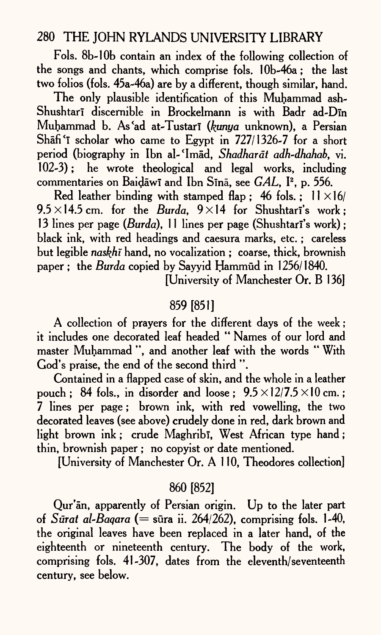Fols. 8b-10b contain an index of the following collection of the songs and chants, which comprise fols. 10b-46a; the last two folios (fols. 45a-46a) are by a different, though similar, hand.

The only plausible identification of this Muhammad ash-Shushtari discernible in Brockelmann is with Badr ad-Din Muhammad b. As'ad at-Tustar! *(kunya* unknown), a Persian Shafi'i scholar who came to Egypt in  $727/1326-7$  for a short period (biography in Ibn al-'Imad, *Shadharat adh-dhahab*, vi. 102-3); he wrote theological and legal works, including commentaries on BaidawT and Ibn Sina, see *GAL,* I2 , p. 556.

Red leather binding with stamped flap; 46 fols.;  $11 \times 16/$  $9.5 \times 14.5$  cm. for the *Burda*,  $9 \times 14$  for Shushtari's work; 13 lines per page *(Burda),* 11 lines per page (Shushtari's work); black ink, with red headings and caesura marks, etc.; careless but legible *naskhi* hand, no vocalization ; coarse, thick, brownish paper ; the *Burda* copied by Sayyid Hammud in 1256/1840.

[University of Manchester Or. B 136]

## 859 [851]

A collection of prayers for the different days of the week; it includes one decorated leaf headed " Names of our lord and master Muhammad ", and another leaf with the words " With God's praise, the end of the second third ".

Contained in a flapped case of skin, and the whole in a leather pouch : 84 fols., in disorder and loose :  $9.5 \times 12/7.5 \times 10$  cm.; 7 lines per page; brown ink, with red vowelling, the two decorated leaves (see above) crudely done in red, dark brown and light brown ink; crude Maghribi, West African type hand; thin, brownish paper ; no copyist or date mentioned.

[University of Manchester Or. A 110, Theodores collection]

## 860 [852]

Qur'an, apparently of Persian origin. Up to the later par<sup>t</sup> of *Surat al-Baqara (=* sura ii. 264/262), comprising fols. 1-40, the original leaves have been replaced in a later hand, of the eighteenth or nineteenth century. The body of the work, comprising fols. 41-307, dates from the eleventh/seventeenth century, see below.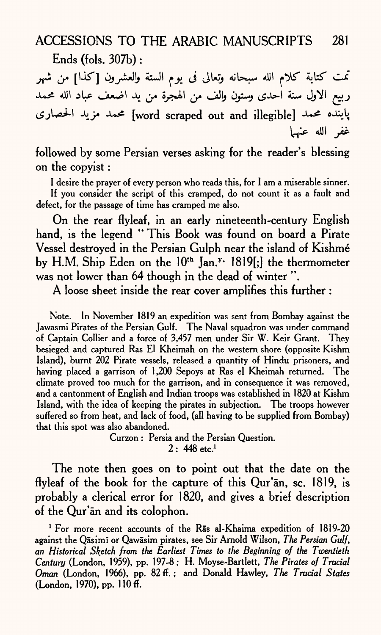Ends (fols. 307b) :

تمت كتابة كلام الله سبحانه وتعالى فى يوم الستة والعشرون [كذا] من شهر ربيع الاول سنة احدى وستون والف من الهجرة من يد اضعف عباد الله محمد پاینده محمد [word scraped out and illegible] محمد مزید الحصاری غفر الله عنها

followed by some Persian verses asking for the reader's blessing on the copyist :

I desire the prayer of every person who reads this, for I am a miserable sinner. If you consider the script of this cramped, do not count it as a fault and defect, for the passage of time has cramped me also.

On the rear flyleaf, in an early nineteenth-century English hand, is the legend " This Book was found on board a Pirate Vessel destroyed in the Persian Gulph near the island of Kishmé by H.M. Ship Eden on the  $10<sup>th</sup>$  Jan.<sup>y</sup> 1819[;] the thermometer was not lower than 64 though in the dead of winter ".

A loose sheet inside the rear cover amplifies this further :

Note. In November 1819 an expedition was sent from Bombay against the Jawasmi Pirates of the Persian Gulf. The Naval squadron was under command of Captain Collier and a force of 3,457 men under Sir W. Keir Grant. They besieged and captured Ras El Kheimah on the western shore (opposite Kishm Island), burnt 202 Pirate vessels, released a quantity of Hindu prisoners, and having placed a garrison of 1,200 Sepoys at Ras el Kheimah returned. The climate proved too much for the garrison, and in consequence it was removed, and a cantonment of English and Indian troops was established in 1820 at Kishm Island, with the idea of keeping the pirates in subjection. The troops however suffered so from heat, and lack of food, (all having to be supplied from Bombay) that this spot was also abandoned.

Curzon : Persia and the Persian Question.  $2: 448$  etc.<sup>1</sup>

The note then goes on to point out that the date on the flyleaf of the book for the capture of this Qur'an, sc. 1819, is probably a clerical error for 1820, and gives a brief description of the Qur'an and its colophon.

<sup>1</sup> For more recent accounts of the Ras al-Khaima expedition of 1819-20 against the Qasim! or Qawasim pirates, see Sir Arnold Wilson, *The Persian Gulf, an Historical Sketch from the Earliest Times to the Beginning of the Twentieth Century* (London, 1959), pp. 197-8; H. Moyse-Bartlett, *The Pirates of Trucial Oman* (London, 1966), pp. 82 ff. ; and Donald Hawley, *The Trucial States*  (London, 1970), pp. 110 ff.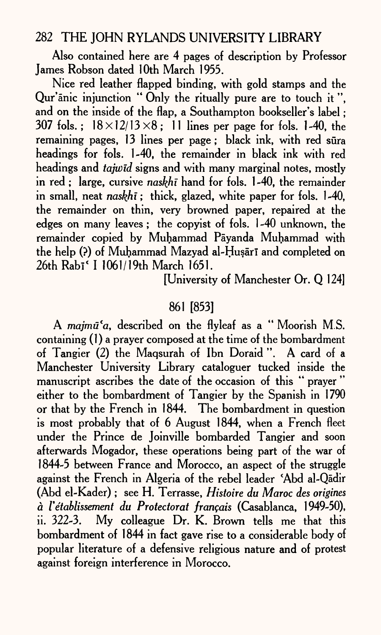Also contained here are 4 pages of description by Professor James Robson dated 10th March 1955.

Nice red leather flapped binding, with gold stamps and the Qur'anic injunction " Only the ritually pure are to touch it", and on the inside of the flap, a Southampton bookseller's label ; 307 fols.:  $18 \times 12/13 \times 8$ : 11 lines per page for fols. 1-40, the remaining pages, 13 lines per page; black ink, with red sura headings for fols. 1-40, the remainder in black ink with red headings and *tajwid* signs and with many marginal notes, mostly in red ; large, cursive *naskhi* hand for fols. 1-40, the remainder in small, neat *naskhi;* thick, glazed, white paper for fols. 1-40, the remainder on thin, very browned paper, repaired at the edges on many leaves; the copyist of fols. 1 -40 unknown, the remainder copied by Muhammad Payanda Muhammad with the help (?) of Muhammad Mazyad al-Husari and completed on 26th Rabi' I 1061/19th March 1651.

[University of Manchester Or. Q 124]

## 861 [853]

A *majmu'a,* described on the flyleaf as a " Moorish M.S. containing (1) a prayer composed at the time of the bombardment of Tangier (2) the Maqsurah of Ibn Doraid ". A card of <sup>a</sup> Manchester University Library cataloguer tucked inside the manuscript ascribes the date of the occasion of this " prayer " either to the bombardment of Tangier by the Spanish in 1790 or that by the French in 1844. The bombardment in question is most probably that of 6 August 1844, when a French fleet under the Prince de Joinville bombarded Tangier and soon afterwards Mogador, these operations being part of the war of 1844-5 between France and Morocco, an aspect of the struggle against the French in Algeria of the rebel leader 'Abd al-Qādir (Abd el-Kader) ; see H. Terrasse, *Histoire du Maroc des origines <sup>a</sup>I'etablissement du Protectorat fran?ais* (Casablanca, 1949-50), ii. 322-3. My colleague Dr. K. Brown tells me that this bombardment of 1844 in fact gave rise to a considerable body of popular literature of a defensive religious nature and of protest against foreign interference in Morocco.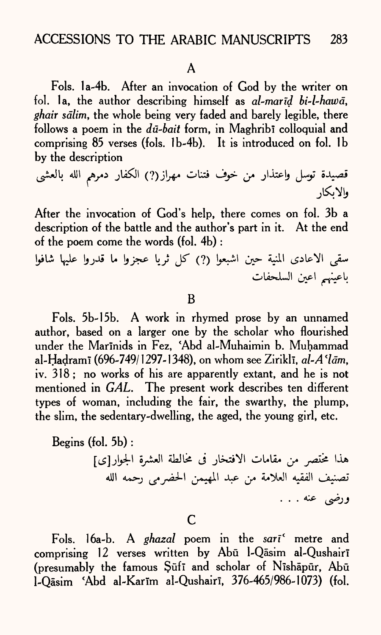#### A

Fols. 1a-4b. After an invocation of God by the writer on fol. la, the author describing himself as *al-marid bi~l-hawd, ghair sdlim,* the whole being very faded and barely legible, there follows a poem in the *du-bait* form, in Maghribi colloquial and comprising 85 verses (fols. lb-4b). It is introduced on fol. Ib by the description

After the invocation of God's help, there comes on fol. 3b <sup>a</sup> description of the battle and the author's part in it. At the end of the poem come the words (fol. 4b) :

سقى الاعادى المنية حين اشبعوا (?) كلَّ ثرياً عجزواً ما قدرواً عليها شافواً باعينهم اعين السلحفات

B

Fols. 5b-15b. A work in rhymed prose by an unnamed author, based on a larger one by the scholar who flourished under the Marinids in Fez, 'Abd al-Muhaimin b. Muhammad al-Hadrami (696-749/1297-1348), on whom see Zirikli, *al-A'lām*, iv.  $318$ ; no works of his are apparently extant, and he is not mentioned in *GAL.* The present work describes ten different types of woman, including the fair, the swarthy, the plump, the slim, the sedentary-dwelling, the aged, the young girl, etc.

Begins (fol. 5b) : هذا مختصر من مقامات الافتخار فى مخالطة العشرة الجوار[ى] تصنيف الفقيه العلامة من عبد المهيمن الحضرمي رحمه الله ورضي عنه . . .

c

Fols. 16a-b. A *ghazal* poem in the *sari\** metre and comprising 12 verses written by Abū l-Qāsim al-Qushairī (presumably the famous Sūfī and scholar of Nīshāpūr, Abū 1-Qāsim 'Abd al-Karīm al-Qushairī, 376-465/986-1073) (fol.

قصيدة توسل واعتذار من خوف فتنات مهراز(?) الكفار دمرهم الله بالعشى والابكار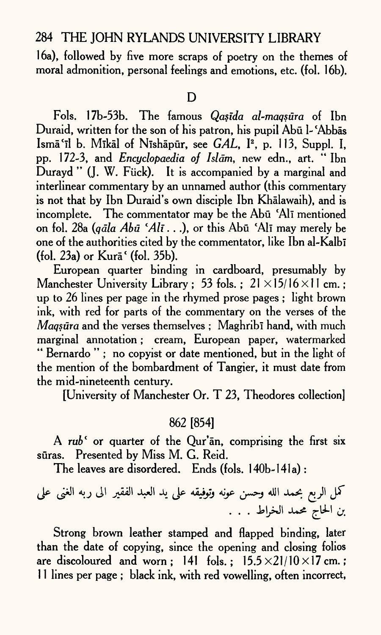16a), followed by five more scraps of poetry on the themes of moral admonition, personal feelings and emotions, etc. (fol. 16b).

#### D

Fols. 17b-53b. The famous *Qasida al-maqsura* of Ibn Duraid, written for the son of his patron, his pupil Abū l-'Abbās Isma<sup>'</sup>il b. Mikal of Nishapur, see *GAL*, <sup>12</sup>, p. 113, Suppl. I, pp. 172-3, and *Encyclopaedia of Islam,* new edn., art. " Ibn Durayd " (J. W. Fück). It is accompanied by a marginal and interlinear commentary by an unnamed author (this commentary is not that by Ibn Duraid's own disciple Ibn Khalawaih), and is incomplete. The commentator may be the Abū 'Alī mentioned on fol. 28a *(qdla Abu lAll . .* .), or this Abu 'All may merely be one of the authorities cited by the commentator, like Ibn al-Kalbī (fol.  $23a$ ) or Kur $\bar{a}$ <sup>c</sup> (fol.  $35b$ ).

European quarter binding in cardboard, presumably by Manchester University Library; 53 fols.;  $21 \times 15/16 \times 11$  cm.; up to 26 lines per page in the rhymed prose pages ; light brown ink, with red for parts of the commentary on the verses of the *Magsura* and the verses themselves ; Maghribi hand, with much marginal annotation ; cream, European paper, watermarked " Bernardo " ; no copyist or date mentioned, but in the light of the mention of the bombardment of Tangier, it must date from the mid-nineteenth century.

[University of Manchester Or. T 23, Theodores collection]

#### 862 [854]

A *rub* <sup>*f*</sup> or quarter of the Qur'an, comprising the first six sūras. Presented by Miss M. G. Reid.

The leaves are disordered. Ends (fols. 140b-141a) :

J-T

Strong brown leather stamped and flapped binding, later than the date of copying, since the opening and closing folios are discoloured and worn : 141 fols. :  $15.5 \times 21/10 \times 17$  cm.; 1 1 lines per page ; black ink, with red vowelling, often incorrect,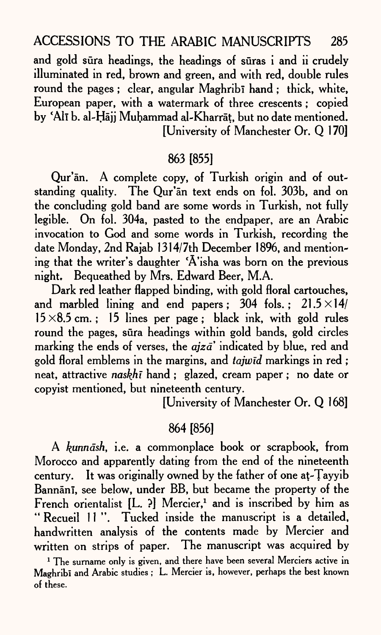and gold sura headings, the headings of suras i and ii crudely illuminated in red, brown and green, and with red, double rules round the pages ; clear, angular Maghribi hand ; thick, white, European paper, with a watermark of three crescents; copied by 'All b. al-Hajj Muhammad al-Kharrat, but no date mentioned. [University of Manchester Or. Q 170]

#### 863 [855]

Qur'an. A complete copy, of Turkish origin and of outstanding quality. The Our'an text ends on fol. 303b, and on the concluding gold band are some words in Turkish, not fully legible. On fol. 304a, pasted to the endpaper, are an Arabic invocation to God and some words in Turkish, recording the date Monday, 2nd Rajab 1314/7th December 1896, and mentioning that the writer's daughter 'A'isha was born on the previous night. Bequeathed by Mrs. Edward Beer, M.A.

Dark red leather flapped binding, with gold floral cartouches, and marbled lining and end papers; 304 fols.;  $21.5 \times 14/$  $15\times8.5$  cm.; 15 lines per page; black ink, with gold rules round the pages, sūra headings within gold bands, gold circles marking the ends of verses, the *ajza*' indicated by blue, red and gold floral emblems in the margins, and *tajwid* markings in red ; neat, attractive *naskhi* hand ; glazed, cream paper ; no date or copyist mentioned, but nineteenth century.

[University of Manchester Or. Q 168]

## 864 [856]

A *kunndsh,* i.e. a commonplace book or scrapbook, from Morocco and apparently dating from the end of the nineteenth century. It was originally owned by the father of one at-Tayyib Bannānī, see below, under BB, but became the property of the French orientalist  $[L. ?]$  Mercier,<sup>1</sup> and is inscribed by him as " Recueil 11". Tucked inside the manuscript is a detailed, handwritten analysis of the contents made by Mercier and written on strips of paper. The manuscript was acquired by

<sup>&</sup>lt;sup>1</sup> The surname only is given, and there have been several Merciers active in Maghribi and Arabic studies ; L. Mercier is, however, perhaps the best known of these.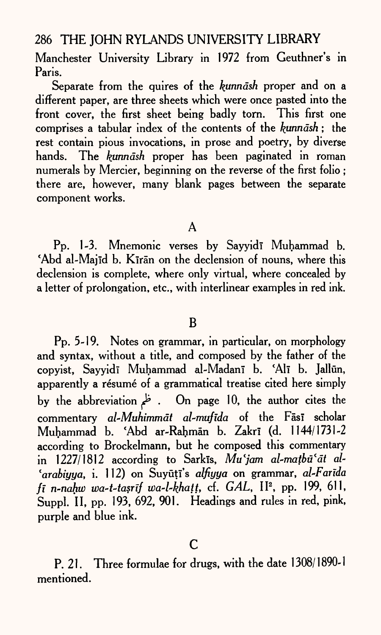Manchester University Library in 1972 from Geuthner's in Paris.

Separate from the quires of the *kunnash* proper and on a different paper, are three sheets which were once pasted into the front cover, the first sheet being badly torn. This first one comprises a tabular index of the contents of the *^tmndsh* ; the rest contain pious invocations, in prose and poetry, by diverse hands. The *kunndsh* proper has been paginated in roman numerals by Mercier, beginning on the reverse of the first folio ; there are, however, many blank pages between the separate component works.

A

Pp. 1-3. Mnemonic verses by Sayyidi Muhammad b. Abd al-Majīd b. Kīrān on the declension of nouns, where this declension is complete, where only virtual, where concealed by <sup>a</sup>letter of prolongation, etc., with interlinear examples in red ink.

#### B

Pp. 5-19. Notes on grammar, in particular, on morphology and syntax, without a title, and composed by the father of the copyist, Sayyidī Muhammad al-Madanī b. 'Alī b. Jallūn, apparently a résumé of a grammatical treatise cited here simply by the abbreviation *^ .* On page 10, the author cites the commentary *al-Muhimmāt al-mufīda* of the Fāsī scholar Muhammad b. 'Abd ar-Rahman b. Zakri (d. 1144/1731-2 according to Brockelmann, but he composed this commentary in 1227/1812 according to Sarkis, Mu'jam al-matbū'āt al-*'arabiyya,* i. 112) on Suyuti's *alfiyya* on grammar, *al-Farida fi n-nahw wa-t-tasrif wa~l~khatt,* cf. *GAL,* II2 , pp. 199, 611, Suppl. II, pp. 193, 692, 901. Headings and rules in red, pink, purple and blue ink.

P. 21. Three formulae for drugs, with the date 1308/1890-1 mentioned.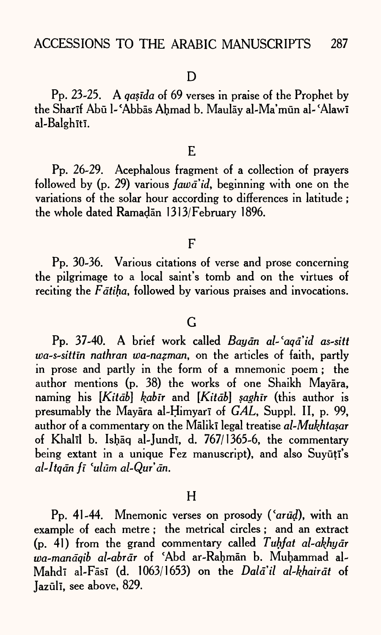Pp. 23-25. A *qasida* of 69 verses in praise of the Prophet by the Sharif Abū l-'Abbās Ahmad b. Maulāv al-Ma'mūn al-'Alawī al-Balghītī.

#### E

Pp. 26-29. Acephalous fragment of a collection of prayers followed by (p. 29) various *fawd'id,* beginning with one on the variations of the solar hour according to differences in latitude ; the whole dated Ramadan 1313/February 1896.

#### F

Pp. 30-36. Various citations of verse and prose concerning the pilgrimage to a local saint's tomb and on the virtues of reciting the *F* atiha, followed by various praises and invocations.

## $\overline{G}$

Pp. 37-40. A brief work called *Bay an al-'aqd'id as-sitt wa-s-sittin nathran wa-nazman,* on the articles of faith, partly in prose and partly in the form of a mnemonic poem ; the author mentions (p. 38) the works of one Shaikh Mayara, naming his *[Kitdb] kabir* and *[Kitdb] saghir* (this author is presumably the Mayara al-Himyari of *GAL*, Suppl. II, p. 99, author of a commentary on the Maliki legal treatise al-Mukhtasar of Khalīl b. Ishāq al-Jundī, d. 767/1365-6, the commentary being extant in a unique Fez manuscript), and also Suyūțī's *al-Itqdn ft fulum al-Qur'dn.*

#### H

Pp. 41-44. Mnemonic verses on prosody ('arud), with an example of each metre; the metrical circles; and an extract (p. 41) from the grand commentary called *Tuhfat al-akhydr toa-mandqib al-abrdr* of \*Abd ar-Rahman b. Muhammad al-Mahdī al-Fāsī (d. 1063/1653) on the *Dalā'il al-khairāt* of Jazūlī, see above, 829.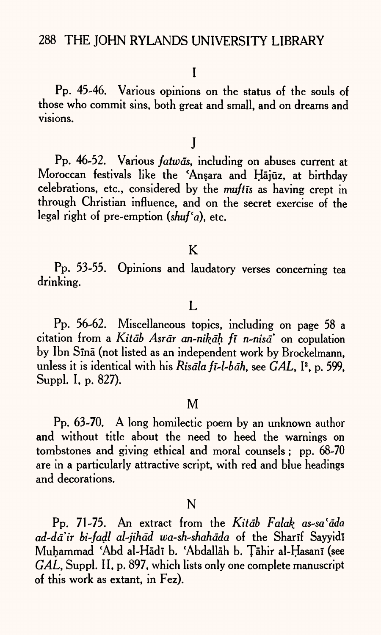Pp. 45-46. Various opinions on the status of the souls of those who commit sins, both great and small, and on dreams and visions.

j

Pp. 46-52. Various *fatwas*, including on abuses current at Moroccan festivals like the 'Ansara and Hājūz, at birthday celebrations, etc., considered by the *muftis* as having crept in through Christian influence, and on the secret exercise of the legal right of pre-emption  $(shu f a)$ , etc.

## K

Pp. 53-55. Opinions and laudatory verses concerning tea drinking.

## L

Pp. 56-62. Miscellaneous topics, including on page 58 <sup>a</sup> citation from a Kitab Asrar an-nikah fi n-nisa' on copulation by Ibn Sinā (not listed as an independent work by Brockelmann, unless it is identical with his *Risāla fī-l-bāh*, see *GAL*, <sup>[2</sup>, p. 599, Suppl. I, p. 827).

#### M

Pp. 63-70. A long homilectic poem by an unknown author and without title about the need to heed the warnings on tombstones and giving ethical and moral counsels; pp. 68-70 are in a particularly attractive script, with red and blue headings and decorations.

#### N

Pp. 71-75. An extract from the *Kitdb Falak as-sa'dda ad~dd'ir bi-fadl al-jihdd wa-sh-shahdda* of the Sharlf Sayyidl Muhammad 'Abd al-Hādī b. 'Abdallāh b. Tāhir al-Ḥasanī (see *GAL,* Suppl. II, p. 897, which lists only one complete manuscript of this work as extant, in Fez).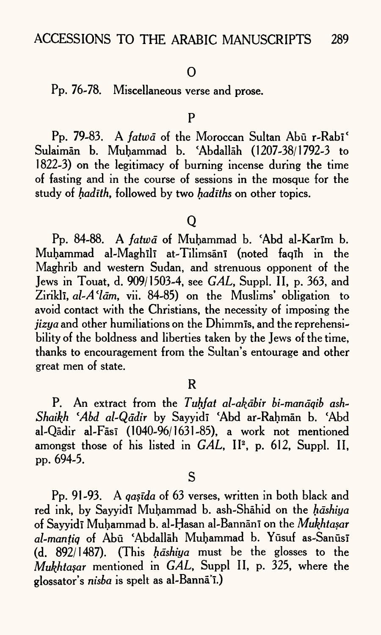#### 0

# Pp. 76-78. Miscellaneous verse and prose.

P

Pp. 79-83. A *fatwa* of the Moroccan Sultan Abū r-Rabi<sup>c</sup> Sulaiman b. Muhammad b. 'Abdallah (1207-38/1792-3 to 1822-3) on the legitimacy of burning incense during the time of fasting and in the course of sessions in the mosque for the study of *hadith,* followed by two *hadiths* on other topics.

#### Q

Pp. 84-88. A *fatwa* of Muhammad b. 'Abd al-Karim b. Muhammad al-Maghili at-Tilimsani (noted faqih in the Maghrib and western Sudan, and strenuous opponent of the Jews in Touat, d. 909/1503-4, see *GAL,* Suppl. II, p. 363, and Ziriklī, *al-A'lām*, vii. 84-85) on the Muslims' obligation to avoid contact with the Christians, the necessity of imposing the *jizya* and other humiliations on the Dhimmis, and the reprehensibility of the boldness and liberties taken by the Jews of the time, thanks to encouragement from the Sultan's entourage and other great men of state.

#### R

P. An extract from the *Tuhfat al-akābir bi-manāqib ash-*Shaikh 'Abd al-Qādir by Sayyidī 'Abd ar-Rahmān b. 'Abd al-Qādir al-Fāsī (1040-96/1631-85), a work not mentioned amongst those of his listed in *GAL*, II<sup>2</sup>, p. 612, Suppl. II, pp. 694-5.

S

Pp. 91-93. A *qasida* of 63 verses, written in both black and red ink, by Sayyidi Muhammad b. ash-Shahid on the *hashiya* of Sayyidī Muhammad b. al-Hasan al-Bannānī on the *Mukhtasar* al-mantiq of Abū 'Abdallāh Muhammad b. Yūsuf as-Sanūsī (d. 892/1487). (This *hdshiya* must be the glosses to the *Mukhta§ar* mentioned in *GAL,* Suppl II, p. 325, where the glossator's *nisba* is spelt as al-Banna'T.)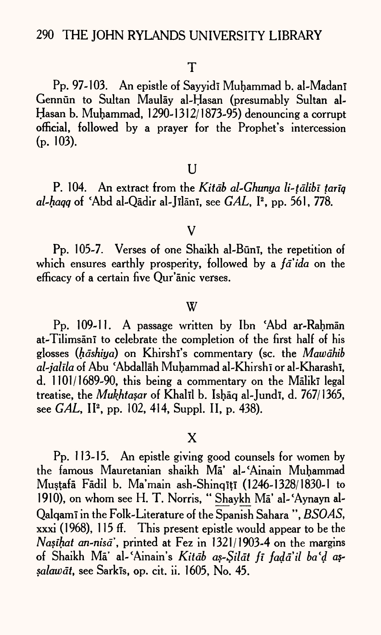Pp. 97-103. An epistle of Sayyidi Muhammad b. al-Madani Gennün to Sultan Maulāy al-Hasan (presumably Sultan al-Hasan b. Muhammad, 1290-1312/1873-95) denouncing a corrupt official, followed by <sup>a</sup>prayer for the Prophet's intercession  $(p. 103)$ .

#### $U$

P. 104. An extract from the *Kitdb al-Ghunya li-tdlibi tanq al-haqq* of \*Abd al-Qadir al-Jllani, see *GAL,* I2 , pp. 561, 778.

#### V

Pp. 105-7. Verses of one Shaikh al-Būnī, the repetition of which ensures earthly prosperity, followed by a *fa*'*ida* on the efficacy of a certain five Qur'anic verses.

#### W

Pp. 109-11. A passage written by Ibn 'Abd ar-Rahman at-Tilimsan<sup>t</sup> to celebrate the completion of the first half of his glosses *(hāshiya)* on Khirshī's commentary (sc. the *Mawāhib al~jalila* of Abu 'Abdallah Muhammad al-Khirshi or al-Kharashi, d. 1101/1689-90, this being a commentary on the Maliki legal treatise, the *Mukhtasar* of Khalil b. Ishaq al-Jundi, d. 767/1365, see *GAL*, II<sup>2</sup>, pp. 102, 414, Suppl. II, p. 438).

## X

Pp. 113-15. An epistle giving good counsels for women by the famous Mauretanian shaikh Ma' al-'Ainain Muhammad Mustafā Fādil b. Ma'main ash-Shinqītī (1246-1328/1830-1 to 1910), on whom see H. T. Norris, "Shaykh Mā' al-'Aynayn al-Qalqami in the Folk-Literature of the Spanish Sahara ", *BSOAS,*  xxxi (1968), 115 ff. This present epistle would appear to be the *Nasihat an-msa",* printed at Fez in 1321/1903-4 on the margins of Shaikh Ma' al-\*AJnain's *Kitdb as-Sildt fi fadail ba'd as~ salawdt,* see Sarkls, op. cit. ii. 1605, No. 45.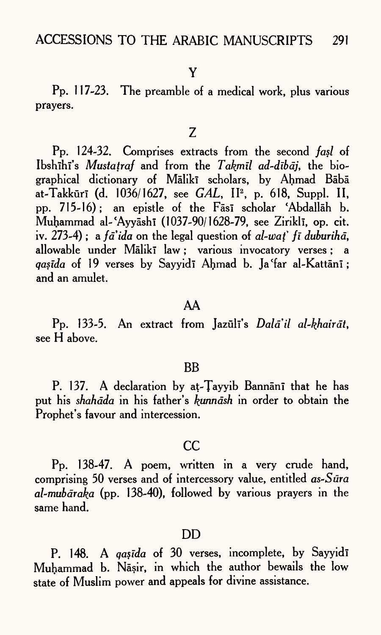Pp. 117-23. The preamble of a medical work, plus various prayers.

#### $Z$

Pp. 124-32. Comprises extracts from the second *fasl* of Ibshihi's *Mustatraf* and from the *Takmil ad-dibaj*, the biographical dictionary of Mālikī scholars, by Ahmad Bābā at-Takkūrī (d. 1036/1627, see *GAL*, II<sup>2</sup>, p. 618, Suppl. II, pp. 715-16); an epistle of the Fasi scholar 'Abdallah b. Muhammad al-'Ayyāshī (1037-90/1628-79, see Ziriklī, op. cit. iv. 273-4) ; <sup>a</sup>*faida* on the legal question of *al-wat" fi duburihd,*  allowable under Mālikī law; various invocatory verses; a *qasida* of 19 verses by Sayvidī Ahmad b. Ja 'far al-Kattānī; and an amulet.

#### AA

Pp. 133-5. An extract from Jazūli's *Dalā'il al-khairāt*, see H above.

#### **BB**

P. 137. A declaration by at-Tayyib Bannānī that he has put his *shahdda* in his father's *kunndsh* in order to obtain the Prophet's favour and intercession.

#### cc

Pp. 138-47. A poem, written in a very crude hand, comprising 50 verses and of intercessory value, entitled *as~Sura al-mubdraka* (pp. 138-40), followed by various prayers in the same hand.

#### DD

P. 148. A *qas<sup>ida* of 30</sup> verses, incomplete, by Sayyidi Muhammad b. Nasir, in which the author bewails the low state of Muslim power and appeals for divine assistance.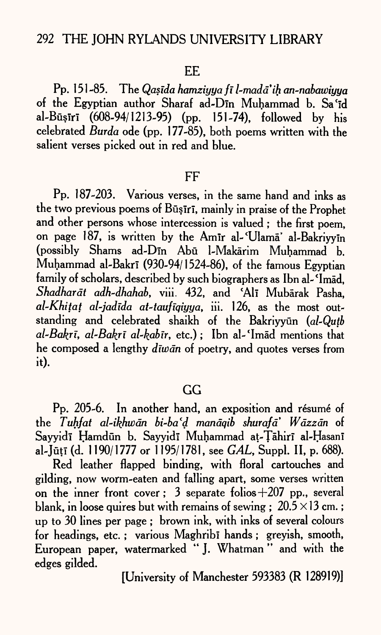#### EE

Pp. 151-85. The *Qasida hamziyya fi l-mada'ih an-nabawiyya* of the Egyptian author Sharaf ad-Din Muhammad b. Sa'id al-Būsiri (608-94/1213-95) (pp. 151-74), followed by his celebrated *Burda* ode (pp. 177-85), both poems written with the salient verses picked out in red and blue.

#### FF

Pp. 187-203. Various verses, in the same hand and inks as the two previous poems of Būsīrī, mainly in praise of the Prophet and other persons whose intercession is valued ; the first poem, on page 187, is written by the Amir al-'Ulama' al-Bakriyym (possibly Shams ad-Din Abu 1-Makarim Muhammad b. Muhammad al-Bakrī (930-94/1524-86), of the famous Egyptian family of scholars, described by such biographers as Ibn al-'Imad, *Shadhardt adh~dhahab,* viii. 432, and 'All Mubarak Pasha, *al-Khitat al-jadida at-taufiqiyya,* iii. 126, as the most outstanding and celebrated shaikh of the Bakriyyun (al-Qutb *al~Bakri, al-Bakrl al~kabir,* etc.); Ibn al-'Imad mentions that he composed a lengthy *diiodn* of poetry, and quotes verses from it).

# GG

Pp. 205-6. In another hand, an exposition and résumé of the *Tuhfat al-ikhwdn bi~ba'd mandqib shurafd' Wdzzdn* of Sayyidi Hamdün b. Sayyidi Muhammad at-Tāhiri al-Hasani al-Juti (d. 1190/1777 or 1195/1781, see *GAL,* Suppl. II, P. 688).

Red leather flapped binding, with floral cartouches and gilding, now worm-eaten and falling apart, some verses written on the inner front cover; 3 separate folios  $+207$  pp., several blank, in loose quires but with remains of sewing ;  $20.5 \times 13$  cm.; up to 30 lines per page ; brown ink, with inks of several colours for headings, etc.; various Maghribi hands; greyish, smooth, European paper, watermarked " J. Whatman " and with the edges gilded.

[University of Manchester 593383 (R 128919)]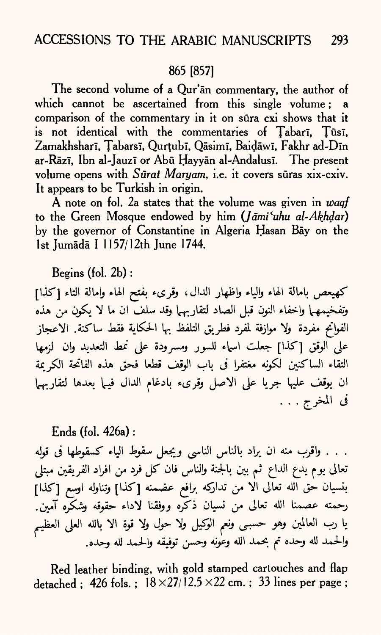## 865 [857]

The second volume of a Qur'an commentary, the author of which cannot be ascertained from this single volume; a comparison of the commentary in it on sura cxi shows that it is not identical with the commentaries of Tabari, Tūsī, Zamakhsharī, Țabarsī, Qurțubī, Qāsimī, Baidāwī, Fakhr ad-Dīn ar-Rāzī, Ibn al-Jauzī or Abū Hayyān al-Andalusī. The present volume opens with *Surat Maryam,* i.e. it covers suras xix-cxiv. It appears to be Turkish in origin.

A note on fol. 2a states that the volume was given in *waqf*  to the Green Mosque endowed by him *(Jdmi'uhu al-Akhdar)*  by the governor of Constantine in Algeria Hasan Bay on the 1st Jumādā I 1157/12th June 1744.

Begins (fol. 2b) :

كهيعص بامالة الهاء والياء واظهار الدال، وقرىء بفتح الهاء وإمالة التاء [كذا] وتفخيمهما واخفاء النون قبل الصاد لتقاربهما وقد سلف ان ما لا يكون من هذه الفواتح مفردة ولا موازفة لمفرد فطريق التلفظ بها الحكاية فقط ساكنة. الاعجاز على الوقق [كذا] جعلت اسماء للسور ومسرودة على نمط التعديد وان لزمها التقاء الساكنين لكونه مغتفرا في باب الوقف قطعا فحق هذه الفاتحة الكريمة ان يوقف عليها جريا على الاصل وقرىء بادغام الدال فيها بعدها لتقاربهما في المخرج . . .

#### Ends (fol. 426a) :

. . . واقرب منه ان يراد بالناس الناسي ويجعل سقوط الياء كسقوطها في قوله تعالى يوم يدع الداع ثم بين بالجنة والناس فان كل فرد من افراد الفريقين مبتلى بنسيان حق الله تعالى الا من تداركه برافع عضمنه [كذا] وتناوله اوسع [كذا] رحمته عصمنا الله تعالى من نسيان ذكَّره ووفقنا لاداء حقوقه وشكَّره آمين. يا رب العالمين وهو حسبى ونعم الوكيل ولا حول ولا قوة الا بالله العلى العظيم والحمد لله وحده تم بحمد الله وعونه وحسن توفيقه والحمد لله وحده.

Red leather binding, with gold stamped cartouches and flap detached ; 426 fols. ;  $18 \times 27/12.5 \times 22$  cm. ; 33 lines per page ;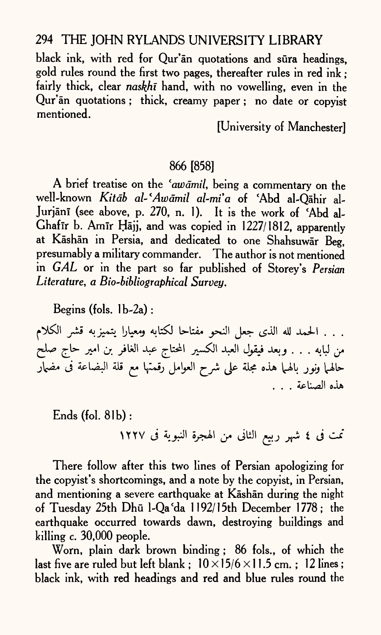black ink, with red for Qur'an quotations and sura headings, gold rules round the first two pages, thereafter rules in red ink ; fairly thick, clear *naskhi* hand, with no vowelling, even in the Qur'an quotations ; thick, creamy paper ; no date or copyist mentioned.

[University of Manchester]

# 866 [858]

A brief treatise on the *'awdmil,* being a commentary on the well-known *Kitdb al-'Awdmil al-mia* of \*Abd al-Qahir al-Jurjānī (see above, p. 270, n. 1). It is the work of 'Abd al-Ghafir b. Amir Hajj, and was copied in 1227/1812, apparently at Kashan in Persia, and dedicated to one Shahsuwar Beg, presumably a military commander. The author is not mentioned in *GAL* or in the part so far published of Storey's *Persian Literature, a Bio-bibliographical Survey.*

Begins (fols. lb-2a) :

. . . الحمد لله الذي جعل النحو مفتاحا لكتابه ومعيارا يتميزبه قشر الكلام من لبابه . . . وبعد فيقول العبد الكسير المحتاج عبد الغافر بن امير حاج صلح حالهما ونور بالهما هذه مجلة على شرح العوامل رقمتها مع قلة البضاعة فى مضمار هذه الصناعة . . .

 $Ends$  (fol.  $81b$ ):

تمت فى ٤ شهر ربيع الثانى من الهجرة النبوية فى ١٢٢٧

There follow after this two lines of Persian apologizing for the copyist's shortcomings, and a note by the copyist, in Persian, and mentioning a severe earthquake at Kāshān during the night of Tuesday 25th Dhū l-Qa'da 1192/15th December 1778; the earthquake occurred towards dawn, destroying buildings and killing c. 30,000 people.

Worn, plain dark brown binding ; 86 fols., of which the last five are ruled but left blank ;  $10 \times 15/6 \times 11.5$  cm.; 12 lines; black ink, with red headings and red and blue rules round the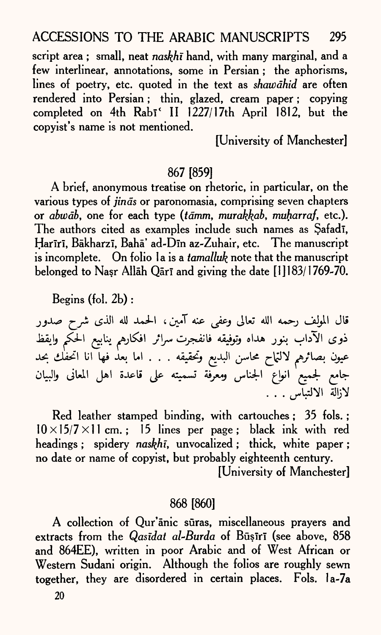script area ; small, neat *naskhi* hand, with many marginal, and <sup>a</sup> few interlinear, annotations, some in Persian ; the aphorisms, lines of poetry, etc. quoted in the text as *shawdhid* are often rendered into Persian ; thin, glazed, cream paper ; copying completed on 4th Rabi<sup>c</sup> II 1227/17th April 1812, but the copyist's name is not mentioned.

[University of Manchester]

#### 867 [859]

A brief, anonymous treatise on rhetoric, in particular, on the various types of *finds* or paronomasia, comprising seven chapters or *abwāb*, one for each type *(tāmm, murakkab, muharraf, etc.).* The authors cited as examples include such names as Safadi, Harīrī, Bākharzī, Bahā' ad-Dīn az-Zuhair, etc. The manuscript is incomplete. On folio la is a *tamalluk* note that the manuscript belonged to Nasr Allah Qari and giving the date [1] 183/1769-70.

Begins (fol. 2b) :

قال المولف رحمه الله تعالى وعفى عنه آمين، الحمد لله الذى شرح صدور ھے تناسع الحک البلايع وتحقيقه . . . أما يعد فها أنا جامع لجميع انواع الجناس ومعرفة تسميته على قاعدة اهل المعانى والبيان لازالة الالتياس . . .

Red leather stamped binding, with cartouches ; 35 fols. ;  $10\times15/7\times11$  cm.; 15 lines per page; black ink with red headings ; spidery *naskhi*, unvocalized ; thick, white paper ; no date or name of copyist, but probably eighteenth century.

[University of Manchester]

#### 868 [860]

A collection of Qur'anic sūras, miscellaneous prayers and extracts from the *Qasidat al-Burda* of Būșiri (see above, 858 and 864EE), written in poor Arabic and of West African or Western Sudani origin. Although the folios are roughly sewn together, they are disordered in certain places. Fols. la-7a